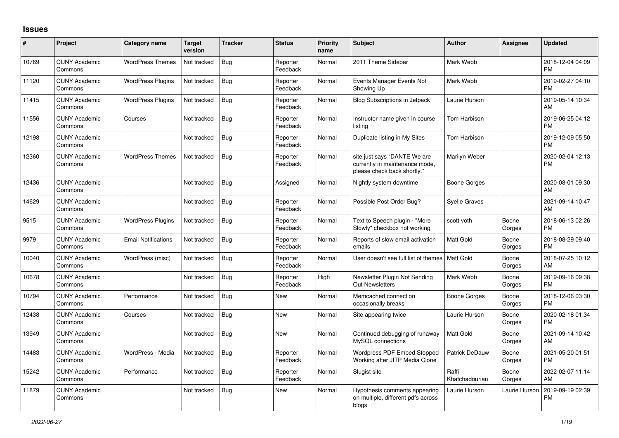## **Issues**

| #     | Project                         | <b>Category name</b>       | <b>Target</b><br>version | <b>Tracker</b> | <b>Status</b>        | <b>Priority</b><br>name | <b>Subject</b>                                                                                | <b>Author</b>           | <b>Assignee</b> | <b>Updated</b>                |
|-------|---------------------------------|----------------------------|--------------------------|----------------|----------------------|-------------------------|-----------------------------------------------------------------------------------------------|-------------------------|-----------------|-------------------------------|
| 10769 | <b>CUNY Academic</b><br>Commons | <b>WordPress Themes</b>    | Not tracked              | Bug            | Reporter<br>Feedback | Normal                  | 2011 Theme Sidebar                                                                            | Mark Webb               |                 | 2018-12-04 04:09<br><b>PM</b> |
| 11120 | <b>CUNY Academic</b><br>Commons | <b>WordPress Plugins</b>   | Not tracked              | Bug            | Reporter<br>Feedback | Normal                  | Events Manager Events Not<br>Showing Up                                                       | Mark Webb               |                 | 2019-02-27 04:10<br><b>PM</b> |
| 11415 | <b>CUNY Academic</b><br>Commons | <b>WordPress Plugins</b>   | Not tracked              | Bug            | Reporter<br>Feedback | Normal                  | <b>Blog Subscriptions in Jetpack</b>                                                          | Laurie Hurson           |                 | 2019-05-14 10:34<br>AM        |
| 11556 | <b>CUNY Academic</b><br>Commons | Courses                    | Not tracked              | Bug            | Reporter<br>Feedback | Normal                  | Instructor name given in course<br>listing                                                    | <b>Tom Harbison</b>     |                 | 2019-06-25 04:12<br><b>PM</b> |
| 12198 | <b>CUNY Academic</b><br>Commons |                            | Not tracked              | Bug            | Reporter<br>Feedback | Normal                  | Duplicate listing in My Sites                                                                 | Tom Harbison            |                 | 2019-12-09 05:50<br><b>PM</b> |
| 12360 | <b>CUNY Academic</b><br>Commons | <b>WordPress Themes</b>    | Not tracked              | <b>Bug</b>     | Reporter<br>Feedback | Normal                  | site just says "DANTE We are<br>currently in maintenance mode,<br>please check back shortly." | Marilyn Weber           |                 | 2020-02-04 12:13<br><b>PM</b> |
| 12436 | <b>CUNY Academic</b><br>Commons |                            | Not tracked              | Bug            | Assigned             | Normal                  | Nightly system downtime                                                                       | Boone Gorges            |                 | 2020-08-01 09:30<br>AM        |
| 14629 | <b>CUNY Academic</b><br>Commons |                            | Not tracked              | <b>Bug</b>     | Reporter<br>Feedback | Normal                  | Possible Post Order Bug?                                                                      | <b>Syelle Graves</b>    |                 | 2021-09-14 10:47<br>AM        |
| 9515  | <b>CUNY Academic</b><br>Commons | <b>WordPress Plugins</b>   | Not tracked              | Bug            | Reporter<br>Feedback | Normal                  | Text to Speech plugin - "More<br>Slowly" checkbox not working                                 | scott voth              | Boone<br>Gorges | 2018-06-13 02:26<br><b>PM</b> |
| 9979  | <b>CUNY Academic</b><br>Commons | <b>Email Notifications</b> | Not tracked              | Bug            | Reporter<br>Feedback | Normal                  | Reports of slow email activation<br>emails                                                    | Matt Gold               | Boone<br>Gorges | 2018-08-29 09:40<br><b>PM</b> |
| 10040 | <b>CUNY Academic</b><br>Commons | WordPress (misc)           | Not tracked              | Bug            | Reporter<br>Feedback | Normal                  | User doesn't see full list of themes   Matt Gold                                              |                         | Boone<br>Gorges | 2018-07-25 10:12<br>AM        |
| 10678 | <b>CUNY Academic</b><br>Commons |                            | Not tracked              | Bug            | Reporter<br>Feedback | High                    | Newsletter Plugin Not Sending<br><b>Out Newsletters</b>                                       | Mark Webb               | Boone<br>Gorges | 2019-09-16 09:38<br><b>PM</b> |
| 10794 | <b>CUNY Academic</b><br>Commons | Performance                | Not tracked              | Bug            | <b>New</b>           | Normal                  | Memcached connection<br>occasionally breaks                                                   | <b>Boone Gorges</b>     | Boone<br>Gorges | 2018-12-06 03:30<br><b>PM</b> |
| 12438 | <b>CUNY Academic</b><br>Commons | Courses                    | Not tracked              | Bug            | <b>New</b>           | Normal                  | Site appearing twice                                                                          | Laurie Hurson           | Boone<br>Gorges | 2020-02-18 01:34<br><b>PM</b> |
| 13949 | <b>CUNY Academic</b><br>Commons |                            | Not tracked              | Bug            | <b>New</b>           | Normal                  | Continued debugging of runaway<br>MySQL connections                                           | <b>Matt Gold</b>        | Boone<br>Gorges | 2021-09-14 10:42<br>AM        |
| 14483 | <b>CUNY Academic</b><br>Commons | WordPress - Media          | Not tracked              | Bug            | Reporter<br>Feedback | Normal                  | Wordpress PDF Embed Stopped<br>Working after JITP Media Clone                                 | Patrick DeDauw          | Boone<br>Gorges | 2021-05-20 01:51<br><b>PM</b> |
| 15242 | <b>CUNY Academic</b><br>Commons | Performance                | Not tracked              | <b>Bug</b>     | Reporter<br>Feedback | Normal                  | Slugist site                                                                                  | Raffi<br>Khatchadourian | Boone<br>Gorges | 2022-02-07 11:14<br>AM        |
| 11879 | <b>CUNY Academic</b><br>Commons |                            | Not tracked              | Bug            | <b>New</b>           | Normal                  | Hypothesis comments appearing<br>on multiple, different pdfs across<br>blogs                  | Laurie Hurson           | Laurie Hurson   | 2019-09-19 02:39<br><b>PM</b> |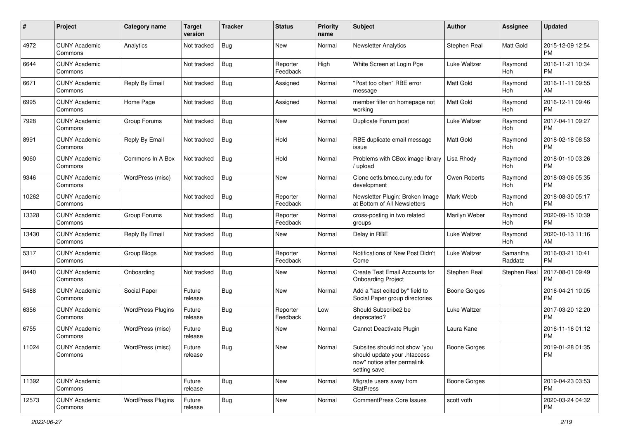| #     | Project                         | <b>Category name</b>     | <b>Target</b><br>version | <b>Tracker</b> | <b>Status</b>        | <b>Priority</b><br>name | <b>Subject</b>                                                                                               | <b>Author</b>       | <b>Assignee</b>       | <b>Updated</b>                |
|-------|---------------------------------|--------------------------|--------------------------|----------------|----------------------|-------------------------|--------------------------------------------------------------------------------------------------------------|---------------------|-----------------------|-------------------------------|
| 4972  | <b>CUNY Academic</b><br>Commons | Analytics                | Not tracked              | Bug            | <b>New</b>           | Normal                  | <b>Newsletter Analytics</b>                                                                                  | Stephen Real        | Matt Gold             | 2015-12-09 12:54<br><b>PM</b> |
| 6644  | <b>CUNY Academic</b><br>Commons |                          | Not tracked              | Bug            | Reporter<br>Feedback | High                    | White Screen at Login Pge                                                                                    | Luke Waltzer        | Raymond<br><b>Hoh</b> | 2016-11-21 10:34<br><b>PM</b> |
| 6671  | <b>CUNY Academic</b><br>Commons | Reply By Email           | Not tracked              | Bug            | Assigned             | Normal                  | "Post too often" RBE error<br>message                                                                        | Matt Gold           | Raymond<br>Hoh        | 2016-11-11 09:55<br>AM        |
| 6995  | <b>CUNY Academic</b><br>Commons | Home Page                | Not tracked              | Bug            | Assigned             | Normal                  | member filter on homepage not<br>working                                                                     | Matt Gold           | Raymond<br>Hoh        | 2016-12-11 09:46<br><b>PM</b> |
| 7928  | <b>CUNY Academic</b><br>Commons | Group Forums             | Not tracked              | <b>Bug</b>     | <b>New</b>           | Normal                  | Duplicate Forum post                                                                                         | Luke Waltzer        | Raymond<br>Hoh        | 2017-04-11 09:27<br><b>PM</b> |
| 8991  | <b>CUNY Academic</b><br>Commons | Reply By Email           | Not tracked              | <b>Bug</b>     | Hold                 | Normal                  | RBE duplicate email message<br>issue                                                                         | <b>Matt Gold</b>    | Raymond<br>Hoh        | 2018-02-18 08:53<br><b>PM</b> |
| 9060  | <b>CUNY Academic</b><br>Commons | Commons In A Box         | Not tracked              | Bug            | Hold                 | Normal                  | Problems with CBox image library<br>upload                                                                   | Lisa Rhody          | Raymond<br>Hoh        | 2018-01-10 03:26<br><b>PM</b> |
| 9346  | <b>CUNY Academic</b><br>Commons | WordPress (misc)         | Not tracked              | <b>Bug</b>     | <b>New</b>           | Normal                  | Clone cetls.bmcc.cuny.edu for<br>development                                                                 | Owen Roberts        | Raymond<br>Hoh        | 2018-03-06 05:35<br><b>PM</b> |
| 10262 | <b>CUNY Academic</b><br>Commons |                          | Not tracked              | Bug            | Reporter<br>Feedback | Normal                  | Newsletter Plugin: Broken Image<br>at Bottom of All Newsletters                                              | Mark Webb           | Raymond<br>Hoh        | 2018-08-30 05:17<br><b>PM</b> |
| 13328 | <b>CUNY Academic</b><br>Commons | Group Forums             | Not tracked              | Bug            | Reporter<br>Feedback | Normal                  | cross-posting in two related<br>groups                                                                       | Marilyn Weber       | Raymond<br>Hoh        | 2020-09-15 10:39<br><b>PM</b> |
| 13430 | <b>CUNY Academic</b><br>Commons | Reply By Email           | Not tracked              | Bug            | <b>New</b>           | Normal                  | Delay in RBE                                                                                                 | Luke Waltzer        | Raymond<br>Hoh        | 2020-10-13 11:16<br>AM        |
| 5317  | <b>CUNY Academic</b><br>Commons | Group Blogs              | Not tracked              | Bug            | Reporter<br>Feedback | Normal                  | Notifications of New Post Didn't<br>Come                                                                     | Luke Waltzer        | Samantha<br>Raddatz   | 2016-03-21 10:41<br><b>PM</b> |
| 8440  | <b>CUNY Academic</b><br>Commons | Onboarding               | Not tracked              | Bug            | New                  | Normal                  | Create Test Email Accounts for<br><b>Onboarding Project</b>                                                  | Stephen Real        | Stephen Real          | 2017-08-01 09:49<br>PM        |
| 5488  | <b>CUNY Academic</b><br>Commons | Social Paper             | Future<br>release        | Bug            | New                  | Normal                  | Add a "last edited by" field to<br>Social Paper group directories                                            | <b>Boone Gorges</b> |                       | 2016-04-21 10:05<br><b>PM</b> |
| 6356  | <b>CUNY Academic</b><br>Commons | <b>WordPress Plugins</b> | Future<br>release        | <b>Bug</b>     | Reporter<br>Feedback | Low                     | Should Subscribe2 be<br>deprecated?                                                                          | Luke Waltzer        |                       | 2017-03-20 12:20<br><b>PM</b> |
| 6755  | <b>CUNY Academic</b><br>Commons | WordPress (misc)         | Future<br>release        | Bug            | New                  | Normal                  | Cannot Deactivate Plugin                                                                                     | Laura Kane          |                       | 2016-11-16 01:12<br><b>PM</b> |
| 11024 | <b>CUNY Academic</b><br>Commons | WordPress (misc)         | Future<br>release        | Bug            | New                  | Normal                  | Subsites should not show "you<br>should update your .htaccess<br>now" notice after permalink<br>setting save | <b>Boone Gorges</b> |                       | 2019-01-28 01:35<br>PM        |
| 11392 | <b>CUNY Academic</b><br>Commons |                          | Future<br>release        | <b>Bug</b>     | New                  | Normal                  | Migrate users away from<br><b>StatPress</b>                                                                  | <b>Boone Gorges</b> |                       | 2019-04-23 03:53<br>PM        |
| 12573 | <b>CUNY Academic</b><br>Commons | <b>WordPress Plugins</b> | Future<br>release        | <b>Bug</b>     | New                  | Normal                  | CommentPress Core Issues                                                                                     | scott voth          |                       | 2020-03-24 04:32<br><b>PM</b> |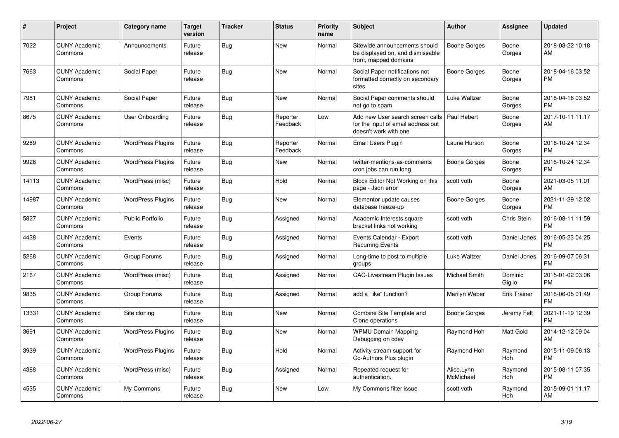| #     | Project                         | <b>Category name</b>     | Target<br>version | <b>Tracker</b> | <b>Status</b>        | <b>Priority</b><br>name | <b>Subject</b>                                                                                  | <b>Author</b>           | <b>Assignee</b>       | <b>Updated</b>                |
|-------|---------------------------------|--------------------------|-------------------|----------------|----------------------|-------------------------|-------------------------------------------------------------------------------------------------|-------------------------|-----------------------|-------------------------------|
| 7022  | <b>CUNY Academic</b><br>Commons | Announcements            | Future<br>release | <b>Bug</b>     | <b>New</b>           | Normal                  | Sitewide announcements should<br>be displayed on, and dismissable<br>from, mapped domains       | <b>Boone Gorges</b>     | Boone<br>Gorges       | 2018-03-22 10:18<br>AM        |
| 7663  | <b>CUNY Academic</b><br>Commons | Social Paper             | Future<br>release | <b>Bug</b>     | <b>New</b>           | Normal                  | Social Paper notifications not<br>formatted correctly on secondary<br>sites                     | <b>Boone Gorges</b>     | Boone<br>Gorges       | 2018-04-16 03:52<br><b>PM</b> |
| 7981  | <b>CUNY Academic</b><br>Commons | Social Paper             | Future<br>release | <b>Bug</b>     | New                  | Normal                  | Social Paper comments should<br>not go to spam                                                  | Luke Waltzer            | Boone<br>Gorges       | 2018-04-16 03:52<br><b>PM</b> |
| 8675  | <b>CUNY Academic</b><br>Commons | <b>User Onboarding</b>   | Future<br>release | <b>Bug</b>     | Reporter<br>Feedback | Low                     | Add new User search screen calls<br>for the input of email address but<br>doesn't work with one | Paul Hebert             | Boone<br>Gorges       | 2017-10-11 11:17<br>AM        |
| 9289  | <b>CUNY Academic</b><br>Commons | <b>WordPress Plugins</b> | Future<br>release | Bug            | Reporter<br>Feedback | Normal                  | Email Users Plugin                                                                              | Laurie Hurson           | Boone<br>Gorges       | 2018-10-24 12:34<br><b>PM</b> |
| 9926  | <b>CUNY Academic</b><br>Commons | <b>WordPress Plugins</b> | Future<br>release | <b>Bug</b>     | New                  | Normal                  | twitter-mentions-as-comments<br>cron jobs can run long                                          | <b>Boone Gorges</b>     | Boone<br>Gorges       | 2018-10-24 12:34<br><b>PM</b> |
| 14113 | <b>CUNY Academic</b><br>Commons | WordPress (misc)         | Future<br>release | Bug            | Hold                 | Normal                  | Block Editor Not Working on this<br>page - Json error                                           | scott voth              | Boone<br>Gorges       | 2021-03-05 11:01<br>AM        |
| 14987 | <b>CUNY Academic</b><br>Commons | <b>WordPress Plugins</b> | Future<br>release | Bug            | New                  | Normal                  | Elementor update causes<br>database freeze-up                                                   | Boone Gorges            | Boone<br>Gorges       | 2021-11-29 12:02<br><b>PM</b> |
| 5827  | <b>CUNY Academic</b><br>Commons | <b>Public Portfolio</b>  | Future<br>release | <b>Bug</b>     | Assigned             | Normal                  | Academic Interests square<br>bracket links not working                                          | scott voth              | Chris Stein           | 2016-08-11 11:59<br><b>PM</b> |
| 4438  | <b>CUNY Academic</b><br>Commons | Events                   | Future<br>release | <b>Bug</b>     | Assigned             | Normal                  | Events Calendar - Export<br><b>Recurring Events</b>                                             | scott voth              | Daniel Jones          | 2016-05-23 04:25<br><b>PM</b> |
| 5268  | <b>CUNY Academic</b><br>Commons | Group Forums             | Future<br>release | <b>Bug</b>     | Assigned             | Normal                  | Long-time to post to multiple<br>groups                                                         | <b>Luke Waltzer</b>     | Daniel Jones          | 2016-09-07 06:31<br><b>PM</b> |
| 2167  | <b>CUNY Academic</b><br>Commons | WordPress (misc)         | Future<br>release | <b>Bug</b>     | Assigned             | Normal                  | <b>CAC-Livestream Plugin Issues</b>                                                             | Michael Smith           | Dominic<br>Giglio     | 2015-01-02 03:06<br><b>PM</b> |
| 9835  | <b>CUNY Academic</b><br>Commons | Group Forums             | Future<br>release | Bug            | Assigned             | Normal                  | add a "like" function?                                                                          | Marilyn Weber           | Erik Trainer          | 2018-06-05 01:49<br><b>PM</b> |
| 13331 | <b>CUNY Academic</b><br>Commons | Site cloning             | Future<br>release | Bug            | <b>New</b>           | Normal                  | Combine Site Template and<br>Clone operations                                                   | Boone Gorges            | Jeremy Felt           | 2021-11-19 12:39<br><b>PM</b> |
| 3691  | <b>CUNY Academic</b><br>Commons | <b>WordPress Plugins</b> | Future<br>release | Bug            | New                  | Normal                  | <b>WPMU Domain Mapping</b><br>Debugging on cdev                                                 | Raymond Hoh             | Matt Gold             | 2014-12-12 09:04<br>AM        |
| 3939  | <b>CUNY Academic</b><br>Commons | <b>WordPress Plugins</b> | Future<br>release | <b>Bug</b>     | Hold                 | Normal                  | Activity stream support for<br>Co-Authors Plus plugin                                           | Raymond Hoh             | Raymond<br><b>Hoh</b> | 2015-11-09 06:13<br><b>PM</b> |
| 4388  | <b>CUNY Academic</b><br>Commons | WordPress (misc)         | Future<br>release | Bug            | Assigned             | Normal                  | Repeated request for<br>authentication.                                                         | Alice.Lynn<br>McMichael | Raymond<br>Hoh        | 2015-08-11 07:35<br><b>PM</b> |
| 4535  | <b>CUNY Academic</b><br>Commons | My Commons               | Future<br>release | <b>Bug</b>     | <b>New</b>           | Low                     | My Commons filter issue                                                                         | scott voth              | Raymond<br>Hoh        | 2015-09-01 11:17<br>AM        |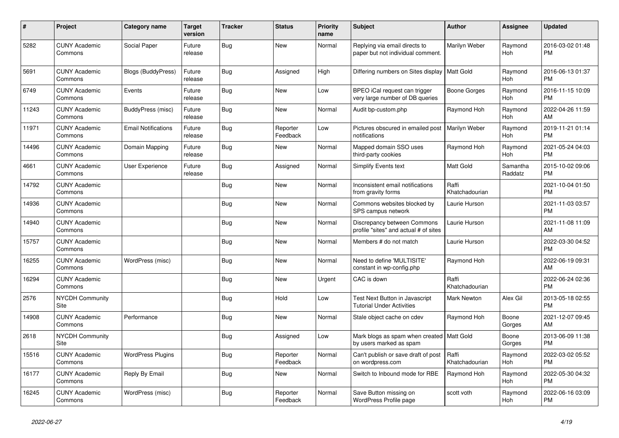| $\pmb{\#}$ | <b>Project</b>                  | <b>Category name</b>       | <b>Target</b><br>version | <b>Tracker</b> | <b>Status</b>        | <b>Priority</b><br>name | <b>Subject</b>                                                         | <b>Author</b>           | Assignee              | <b>Updated</b>                |
|------------|---------------------------------|----------------------------|--------------------------|----------------|----------------------|-------------------------|------------------------------------------------------------------------|-------------------------|-----------------------|-------------------------------|
| 5282       | <b>CUNY Academic</b><br>Commons | Social Paper               | Future<br>release        | Bug            | <b>New</b>           | Normal                  | Replying via email directs to<br>paper but not individual comment.     | Marilyn Weber           | Raymond<br><b>Hoh</b> | 2016-03-02 01:48<br><b>PM</b> |
| 5691       | <b>CUNY Academic</b><br>Commons | Blogs (BuddyPress)         | Future<br>release        | Bug            | Assigned             | High                    | Differing numbers on Sites display                                     | Matt Gold               | Raymond<br><b>Hoh</b> | 2016-06-13 01:37<br><b>PM</b> |
| 6749       | <b>CUNY Academic</b><br>Commons | Events                     | Future<br>release        | Bug            | New                  | Low                     | BPEO iCal request can trigger<br>very large number of DB queries       | Boone Gorges            | Raymond<br><b>Hoh</b> | 2016-11-15 10:09<br><b>PM</b> |
| 11243      | <b>CUNY Academic</b><br>Commons | BuddyPress (misc)          | Future<br>release        | <b>Bug</b>     | <b>New</b>           | Normal                  | Audit bp-custom.php                                                    | Raymond Hoh             | Raymond<br>Hoh        | 2022-04-26 11:59<br>AM        |
| 11971      | <b>CUNY Academic</b><br>Commons | <b>Email Notifications</b> | Future<br>release        | Bug            | Reporter<br>Feedback | Low                     | Pictures obscured in emailed post<br>notifications                     | Marilyn Weber           | Raymond<br>Hoh        | 2019-11-21 01:14<br><b>PM</b> |
| 14496      | <b>CUNY Academic</b><br>Commons | Domain Mapping             | Future<br>release        | Bug            | <b>New</b>           | Normal                  | Mapped domain SSO uses<br>third-party cookies                          | Raymond Hoh             | Raymond<br><b>Hoh</b> | 2021-05-24 04:03<br><b>PM</b> |
| 4661       | <b>CUNY Academic</b><br>Commons | User Experience            | Future<br>release        | <b>Bug</b>     | Assigned             | Normal                  | Simplify Events text                                                   | <b>Matt Gold</b>        | Samantha<br>Raddatz   | 2015-10-02 09:06<br><b>PM</b> |
| 14792      | <b>CUNY Academic</b><br>Commons |                            |                          | <b>Bug</b>     | <b>New</b>           | Normal                  | Inconsistent email notifications<br>from gravity forms                 | Raffi<br>Khatchadourian |                       | 2021-10-04 01:50<br><b>PM</b> |
| 14936      | <b>CUNY Academic</b><br>Commons |                            |                          | <b>Bug</b>     | <b>New</b>           | Normal                  | Commons websites blocked by<br>SPS campus network                      | Laurie Hurson           |                       | 2021-11-03 03:57<br><b>PM</b> |
| 14940      | <b>CUNY Academic</b><br>Commons |                            |                          | <b>Bug</b>     | New                  | Normal                  | Discrepancy between Commons<br>profile "sites" and actual # of sites   | Laurie Hurson           |                       | 2021-11-08 11:09<br>AM        |
| 15757      | <b>CUNY Academic</b><br>Commons |                            |                          | <b>Bug</b>     | <b>New</b>           | Normal                  | Members # do not match                                                 | Laurie Hurson           |                       | 2022-03-30 04:52<br><b>PM</b> |
| 16255      | <b>CUNY Academic</b><br>Commons | WordPress (misc)           |                          | Bug            | New                  | Normal                  | Need to define 'MULTISITE'<br>constant in wp-config.php                | Raymond Hoh             |                       | 2022-06-19 09:31<br>AM        |
| 16294      | <b>CUNY Academic</b><br>Commons |                            |                          | <b>Bug</b>     | New                  | Urgent                  | CAC is down                                                            | Raffi<br>Khatchadourian |                       | 2022-06-24 02:36<br><b>PM</b> |
| 2576       | <b>NYCDH Community</b><br>Site  |                            |                          | Bug            | Hold                 | Low                     | Test Next Button in Javascript<br><b>Tutorial Under Activities</b>     | Mark Newton             | Alex Gil              | 2013-05-18 02:55<br><b>PM</b> |
| 14908      | <b>CUNY Academic</b><br>Commons | Performance                |                          | <b>Bug</b>     | New                  | Normal                  | Stale object cache on cdev                                             | Raymond Hoh             | Boone<br>Gorges       | 2021-12-07 09:45<br>AM        |
| 2618       | <b>NYCDH Community</b><br>Site  |                            |                          | <b>Bug</b>     | Assigned             | Low                     | Mark blogs as spam when created   Matt Gold<br>by users marked as spam |                         | Boone<br>Gorges       | 2013-06-09 11:38<br><b>PM</b> |
| 15516      | <b>CUNY Academic</b><br>Commons | <b>WordPress Plugins</b>   |                          | Bug            | Reporter<br>Feedback | Normal                  | Can't publish or save draft of post<br>on wordpress.com                | Raffi<br>Khatchadourian | Raymond<br><b>Hoh</b> | 2022-03-02 05:52<br><b>PM</b> |
| 16177      | <b>CUNY Academic</b><br>Commons | Reply By Email             |                          | <b>Bug</b>     | <b>New</b>           | Normal                  | Switch to Inbound mode for RBE                                         | Raymond Hoh             | Raymond<br>Hoh        | 2022-05-30 04:32<br><b>PM</b> |
| 16245      | <b>CUNY Academic</b><br>Commons | WordPress (misc)           |                          | Bug            | Reporter<br>Feedback | Normal                  | Save Button missing on<br>WordPress Profile page                       | scott voth              | Raymond<br>Hoh        | 2022-06-16 03:09<br><b>PM</b> |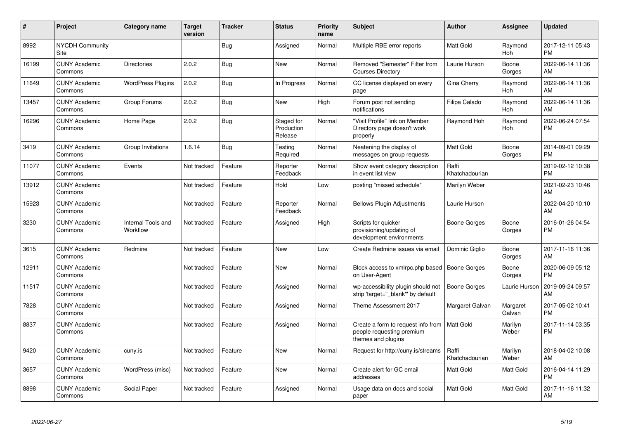| #     | Project                         | Category name                  | <b>Target</b><br>version | <b>Tracker</b> | <b>Status</b>                       | <b>Priority</b><br>name | <b>Subject</b>                                                                        | <b>Author</b>           | <b>Assignee</b>       | <b>Updated</b>                |
|-------|---------------------------------|--------------------------------|--------------------------|----------------|-------------------------------------|-------------------------|---------------------------------------------------------------------------------------|-------------------------|-----------------------|-------------------------------|
| 8992  | <b>NYCDH Community</b><br>Site  |                                |                          | <b>Bug</b>     | Assigned                            | Normal                  | Multiple RBE error reports                                                            | Matt Gold               | Raymond<br>Hoh        | 2017-12-11 05:43<br><b>PM</b> |
| 16199 | <b>CUNY Academic</b><br>Commons | <b>Directories</b>             | 2.0.2                    | Bug            | <b>New</b>                          | Normal                  | Removed "Semester" Filter from<br><b>Courses Directory</b>                            | Laurie Hurson           | Boone<br>Gorges       | 2022-06-14 11:36<br>AM        |
| 11649 | <b>CUNY Academic</b><br>Commons | <b>WordPress Plugins</b>       | 2.0.2                    | Bug            | In Progress                         | Normal                  | CC license displayed on every<br>page                                                 | Gina Cherry             | Raymond<br><b>Hoh</b> | 2022-06-14 11:36<br>AM        |
| 13457 | <b>CUNY Academic</b><br>Commons | Group Forums                   | 2.0.2                    | Bug            | <b>New</b>                          | High                    | Forum post not sending<br>notifications                                               | Filipa Calado           | Raymond<br>Hoh        | 2022-06-14 11:36<br>AM        |
| 16296 | <b>CUNY Academic</b><br>Commons | Home Page                      | 2.0.2                    | Bug            | Staged for<br>Production<br>Release | Normal                  | "Visit Profile" link on Member<br>Directory page doesn't work<br>properly             | Raymond Hoh             | Raymond<br>Hoh        | 2022-06-24 07:54<br><b>PM</b> |
| 3419  | <b>CUNY Academic</b><br>Commons | Group Invitations              | 1.6.14                   | Bug            | Testing<br>Required                 | Normal                  | Neatening the display of<br>messages on group requests                                | Matt Gold               | Boone<br>Gorges       | 2014-09-01 09:29<br><b>PM</b> |
| 11077 | <b>CUNY Academic</b><br>Commons | Events                         | Not tracked              | Feature        | Reporter<br>Feedback                | Normal                  | Show event category description<br>in event list view                                 | Raffi<br>Khatchadourian |                       | 2019-02-12 10:38<br><b>PM</b> |
| 13912 | <b>CUNY Academic</b><br>Commons |                                | Not tracked              | Feature        | Hold                                | Low                     | posting "missed schedule"                                                             | Marilyn Weber           |                       | 2021-02-23 10:46<br>AM        |
| 15923 | <b>CUNY Academic</b><br>Commons |                                | Not tracked              | Feature        | Reporter<br>Feedback                | Normal                  | <b>Bellows Plugin Adjustments</b>                                                     | Laurie Hurson           |                       | 2022-04-20 10:10<br>AM        |
| 3230  | <b>CUNY Academic</b><br>Commons | Internal Tools and<br>Workflow | Not tracked              | Feature        | Assigned                            | High                    | Scripts for quicker<br>provisioning/updating of<br>development environments           | Boone Gorges            | Boone<br>Gorges       | 2016-01-26 04:54<br><b>PM</b> |
| 3615  | <b>CUNY Academic</b><br>Commons | Redmine                        | Not tracked              | Feature        | <b>New</b>                          | Low                     | Create Redmine issues via email                                                       | Dominic Giglio          | Boone<br>Gorges       | 2017-11-16 11:36<br>AM        |
| 12911 | <b>CUNY Academic</b><br>Commons |                                | Not tracked              | Feature        | <b>New</b>                          | Normal                  | Block access to xmlrpc.php based<br>on User-Agent                                     | Boone Gorges            | Boone<br>Gorges       | 2020-06-09 05:12<br><b>PM</b> |
| 11517 | <b>CUNY Academic</b><br>Commons |                                | Not tracked              | Feature        | Assigned                            | Normal                  | wp-accessibility plugin should not<br>strip 'target=" blank" by default               | Boone Gorges            | Laurie Hurson         | 2019-09-24 09:57<br>AM        |
| 7828  | <b>CUNY Academic</b><br>Commons |                                | Not tracked              | Feature        | Assigned                            | Normal                  | Theme Assessment 2017                                                                 | Margaret Galvan         | Margaret<br>Galvan    | 2017-05-02 10:41<br><b>PM</b> |
| 8837  | <b>CUNY Academic</b><br>Commons |                                | Not tracked              | Feature        | Assigned                            | Normal                  | Create a form to request info from<br>people requesting premium<br>themes and plugins | Matt Gold               | Marilyn<br>Weber      | 2017-11-14 03:35<br><b>PM</b> |
| 9420  | <b>CUNY Academic</b><br>Commons | cuny.is                        | Not tracked              | Feature        | <b>New</b>                          | Normal                  | Request for http://cuny.is/streams                                                    | Raffi<br>Khatchadourian | Marilyn<br>Weber      | 2018-04-02 10:08<br>AM        |
| 3657  | <b>CUNY Academic</b><br>Commons | WordPress (misc)               | Not tracked              | Feature        | <b>New</b>                          | Normal                  | Create alert for GC email<br>addresses                                                | Matt Gold               | Matt Gold             | 2016-04-14 11:29<br><b>PM</b> |
| 8898  | <b>CUNY Academic</b><br>Commons | Social Paper                   | Not tracked              | Feature        | Assigned                            | Normal                  | Usage data on docs and social<br>paper                                                | Matt Gold               | Matt Gold             | 2017-11-16 11:32<br>AM        |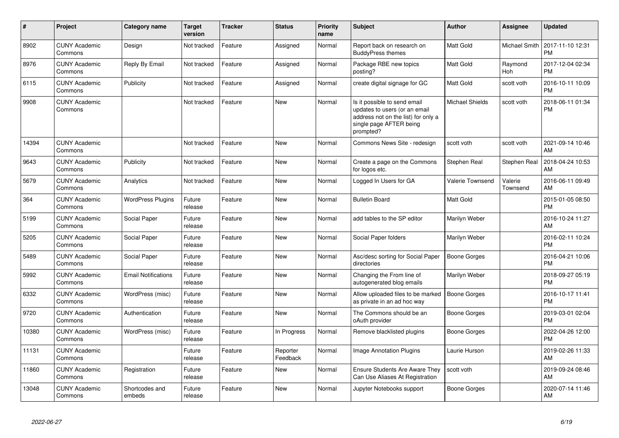| $\#$  | Project                         | <b>Category name</b>       | <b>Target</b><br>version | <b>Tracker</b> | <b>Status</b>        | <b>Priority</b><br>name | <b>Subject</b>                                                                                                                               | <b>Author</b>          | <b>Assignee</b>      | <b>Updated</b>                |
|-------|---------------------------------|----------------------------|--------------------------|----------------|----------------------|-------------------------|----------------------------------------------------------------------------------------------------------------------------------------------|------------------------|----------------------|-------------------------------|
| 8902  | <b>CUNY Academic</b><br>Commons | Design                     | Not tracked              | Feature        | Assigned             | Normal                  | Report back on research on<br><b>BuddyPress themes</b>                                                                                       | Matt Gold              | <b>Michael Smith</b> | 2017-11-10 12:31<br><b>PM</b> |
| 8976  | <b>CUNY Academic</b><br>Commons | Reply By Email             | Not tracked              | Feature        | Assigned             | Normal                  | Package RBE new topics<br>posting?                                                                                                           | Matt Gold              | Raymond<br>Hoh       | 2017-12-04 02:34<br><b>PM</b> |
| 6115  | <b>CUNY Academic</b><br>Commons | Publicity                  | Not tracked              | Feature        | Assigned             | Normal                  | create digital signage for GC                                                                                                                | Matt Gold              | scott voth           | 2016-10-11 10:09<br><b>PM</b> |
| 9908  | <b>CUNY Academic</b><br>Commons |                            | Not tracked              | Feature        | New                  | Normal                  | Is it possible to send email<br>updates to users (or an email<br>address not on the list) for only a<br>single page AFTER being<br>prompted? | <b>Michael Shields</b> | scott voth           | 2018-06-11 01:34<br><b>PM</b> |
| 14394 | <b>CUNY Academic</b><br>Commons |                            | Not tracked              | Feature        | <b>New</b>           | Normal                  | Commons News Site - redesign                                                                                                                 | scott voth             | scott voth           | 2021-09-14 10:46<br>AM        |
| 9643  | <b>CUNY Academic</b><br>Commons | Publicity                  | Not tracked              | Feature        | <b>New</b>           | Normal                  | Create a page on the Commons<br>for logos etc.                                                                                               | Stephen Real           | Stephen Real         | 2018-04-24 10:53<br>AM        |
| 5679  | <b>CUNY Academic</b><br>Commons | Analytics                  | Not tracked              | Feature        | <b>New</b>           | Normal                  | Logged In Users for GA                                                                                                                       | Valerie Townsend       | Valerie<br>Townsend  | 2016-06-11 09:49<br>AM        |
| 364   | <b>CUNY Academic</b><br>Commons | <b>WordPress Plugins</b>   | Future<br>release        | Feature        | New                  | Normal                  | <b>Bulletin Board</b>                                                                                                                        | Matt Gold              |                      | 2015-01-05 08:50<br><b>PM</b> |
| 5199  | <b>CUNY Academic</b><br>Commons | Social Paper               | Future<br>release        | Feature        | New                  | Normal                  | add tables to the SP editor                                                                                                                  | Marilyn Weber          |                      | 2016-10-24 11:27<br>AM        |
| 5205  | <b>CUNY Academic</b><br>Commons | Social Paper               | Future<br>release        | Feature        | <b>New</b>           | Normal                  | Social Paper folders                                                                                                                         | Marilyn Weber          |                      | 2016-02-11 10:24<br><b>PM</b> |
| 5489  | <b>CUNY Academic</b><br>Commons | Social Paper               | Future<br>release        | Feature        | <b>New</b>           | Normal                  | Asc/desc sorting for Social Paper<br>directories                                                                                             | Boone Gorges           |                      | 2016-04-21 10:06<br><b>PM</b> |
| 5992  | <b>CUNY Academic</b><br>Commons | <b>Email Notifications</b> | Future<br>release        | Feature        | New                  | Normal                  | Changing the From line of<br>autogenerated blog emails                                                                                       | Marilyn Weber          |                      | 2018-09-27 05:19<br><b>PM</b> |
| 6332  | <b>CUNY Academic</b><br>Commons | WordPress (misc)           | Future<br>release        | Feature        | <b>New</b>           | Normal                  | Allow uploaded files to be marked<br>as private in an ad hoc way                                                                             | Boone Gorges           |                      | 2016-10-17 11:41<br><b>PM</b> |
| 9720  | <b>CUNY Academic</b><br>Commons | Authentication             | Future<br>release        | Feature        | New                  | Normal                  | The Commons should be an<br>oAuth provider                                                                                                   | Boone Gorges           |                      | 2019-03-01 02:04<br><b>PM</b> |
| 10380 | <b>CUNY Academic</b><br>Commons | WordPress (misc)           | Future<br>release        | Feature        | In Progress          | Normal                  | Remove blacklisted plugins                                                                                                                   | Boone Gorges           |                      | 2022-04-26 12:00<br><b>PM</b> |
| 11131 | <b>CUNY Academic</b><br>Commons |                            | Future<br>release        | Feature        | Reporter<br>Feedback | Normal                  | Image Annotation Plugins                                                                                                                     | Laurie Hurson          |                      | 2019-02-26 11:33<br>AM        |
| 11860 | <b>CUNY Academic</b><br>Commons | Registration               | Future<br>release        | Feature        | New                  | Normal                  | Ensure Students Are Aware They<br>Can Use Aliases At Registration                                                                            | scott voth             |                      | 2019-09-24 08:46<br>AM        |
| 13048 | <b>CUNY Academic</b><br>Commons | Shortcodes and<br>embeds   | Future<br>release        | Feature        | <b>New</b>           | Normal                  | Jupyter Notebooks support                                                                                                                    | Boone Gorges           |                      | 2020-07-14 11:46<br>AM        |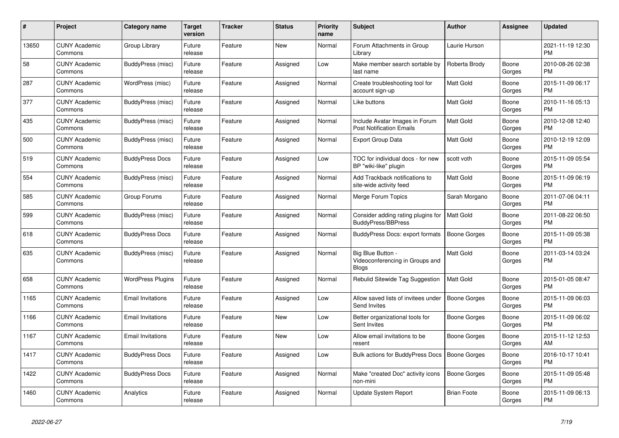| #     | Project                         | Category name            | Target<br>version | Tracker | <b>Status</b> | <b>Priority</b><br>name | <b>Subject</b>                                                       | <b>Author</b>       | Assignee        | <b>Updated</b>                |
|-------|---------------------------------|--------------------------|-------------------|---------|---------------|-------------------------|----------------------------------------------------------------------|---------------------|-----------------|-------------------------------|
| 13650 | <b>CUNY Academic</b><br>Commons | Group Library            | Future<br>release | Feature | <b>New</b>    | Normal                  | Forum Attachments in Group<br>Library                                | Laurie Hurson       |                 | 2021-11-19 12:30<br><b>PM</b> |
| 58    | <b>CUNY Academic</b><br>Commons | BuddyPress (misc)        | Future<br>release | Feature | Assigned      | Low                     | Make member search sortable by<br>last name                          | Roberta Brody       | Boone<br>Gorges | 2010-08-26 02:38<br><b>PM</b> |
| 287   | <b>CUNY Academic</b><br>Commons | WordPress (misc)         | Future<br>release | Feature | Assigned      | Normal                  | Create troubleshooting tool for<br>account sign-up                   | Matt Gold           | Boone<br>Gorges | 2015-11-09 06:17<br><b>PM</b> |
| 377   | <b>CUNY Academic</b><br>Commons | BuddyPress (misc)        | Future<br>release | Feature | Assigned      | Normal                  | Like buttons                                                         | Matt Gold           | Boone<br>Gorges | 2010-11-16 05:13<br><b>PM</b> |
| 435   | <b>CUNY Academic</b><br>Commons | BuddyPress (misc)        | Future<br>release | Feature | Assigned      | Normal                  | Include Avatar Images in Forum<br><b>Post Notification Emails</b>    | Matt Gold           | Boone<br>Gorges | 2010-12-08 12:40<br><b>PM</b> |
| 500   | <b>CUNY Academic</b><br>Commons | BuddyPress (misc)        | Future<br>release | Feature | Assigned      | Normal                  | <b>Export Group Data</b>                                             | Matt Gold           | Boone<br>Gorges | 2010-12-19 12:09<br><b>PM</b> |
| 519   | <b>CUNY Academic</b><br>Commons | <b>BuddyPress Docs</b>   | Future<br>release | Feature | Assigned      | Low                     | TOC for individual docs - for new<br>BP "wiki-like" plugin           | scott voth          | Boone<br>Gorges | 2015-11-09 05:54<br><b>PM</b> |
| 554   | <b>CUNY Academic</b><br>Commons | BuddyPress (misc)        | Future<br>release | Feature | Assigned      | Normal                  | Add Trackback notifications to<br>site-wide activity feed            | Matt Gold           | Boone<br>Gorges | 2015-11-09 06:19<br>PM        |
| 585   | <b>CUNY Academic</b><br>Commons | Group Forums             | Future<br>release | Feature | Assigned      | Normal                  | Merge Forum Topics                                                   | Sarah Morgano       | Boone<br>Gorges | 2011-07-06 04:11<br><b>PM</b> |
| 599   | <b>CUNY Academic</b><br>Commons | BuddyPress (misc)        | Future<br>release | Feature | Assigned      | Normal                  | Consider adding rating plugins for<br><b>BuddyPress/BBPress</b>      | Matt Gold           | Boone<br>Gorges | 2011-08-22 06:50<br><b>PM</b> |
| 618   | <b>CUNY Academic</b><br>Commons | <b>BuddyPress Docs</b>   | Future<br>release | Feature | Assigned      | Normal                  | BuddyPress Docs: export formats                                      | <b>Boone Gorges</b> | Boone<br>Gorges | 2015-11-09 05:38<br><b>PM</b> |
| 635   | <b>CUNY Academic</b><br>Commons | BuddyPress (misc)        | Future<br>release | Feature | Assigned      | Normal                  | Big Blue Button -<br>Videoconferencing in Groups and<br><b>Blogs</b> | <b>Matt Gold</b>    | Boone<br>Gorges | 2011-03-14 03:24<br><b>PM</b> |
| 658   | <b>CUNY Academic</b><br>Commons | <b>WordPress Plugins</b> | Future<br>release | Feature | Assigned      | Normal                  | Rebulid Sitewide Tag Suggestion                                      | <b>Matt Gold</b>    | Boone<br>Gorges | 2015-01-05 08:47<br><b>PM</b> |
| 1165  | <b>CUNY Academic</b><br>Commons | <b>Email Invitations</b> | Future<br>release | Feature | Assigned      | Low                     | Allow saved lists of invitees under<br>Send Invites                  | Boone Gorges        | Boone<br>Gorges | 2015-11-09 06:03<br><b>PM</b> |
| 1166  | <b>CUNY Academic</b><br>Commons | <b>Email Invitations</b> | Future<br>release | Feature | <b>New</b>    | Low                     | Better organizational tools for<br>Sent Invites                      | Boone Gorges        | Boone<br>Gorges | 2015-11-09 06:02<br><b>PM</b> |
| 1167  | <b>CUNY Academic</b><br>Commons | <b>Email Invitations</b> | Future<br>release | Feature | <b>New</b>    | Low                     | Allow email invitations to be<br>resent                              | Boone Gorges        | Boone<br>Gorges | 2015-11-12 12:53<br>AM        |
| 1417  | <b>CUNY Academic</b><br>Commons | <b>BuddyPress Docs</b>   | Future<br>release | Feature | Assigned      | Low                     | Bulk actions for BuddyPress Docs                                     | <b>Boone Gorges</b> | Boone<br>Gorges | 2016-10-17 10:41<br><b>PM</b> |
| 1422  | <b>CUNY Academic</b><br>Commons | <b>BuddyPress Docs</b>   | Future<br>release | Feature | Assigned      | Normal                  | Make "created Doc" activity icons<br>non-mini                        | <b>Boone Gorges</b> | Boone<br>Gorges | 2015-11-09 05:48<br><b>PM</b> |
| 1460  | <b>CUNY Academic</b><br>Commons | Analytics                | Future<br>release | Feature | Assigned      | Normal                  | Update System Report                                                 | <b>Brian Foote</b>  | Boone<br>Gorges | 2015-11-09 06:13<br><b>PM</b> |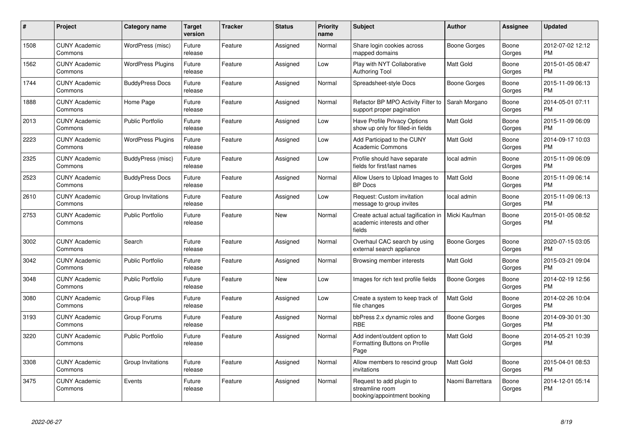| #    | Project                         | <b>Category name</b>     | <b>Target</b><br>version | <b>Tracker</b> | <b>Status</b> | <b>Priority</b><br>name | <b>Subject</b>                                                                 | Author              | Assignee        | <b>Updated</b>                |
|------|---------------------------------|--------------------------|--------------------------|----------------|---------------|-------------------------|--------------------------------------------------------------------------------|---------------------|-----------------|-------------------------------|
| 1508 | <b>CUNY Academic</b><br>Commons | WordPress (misc)         | Future<br>release        | Feature        | Assigned      | Normal                  | Share login cookies across<br>mapped domains                                   | <b>Boone Gorges</b> | Boone<br>Gorges | 2012-07-02 12:12<br><b>PM</b> |
| 1562 | <b>CUNY Academic</b><br>Commons | <b>WordPress Plugins</b> | Future<br>release        | Feature        | Assigned      | Low                     | Play with NYT Collaborative<br><b>Authoring Tool</b>                           | <b>Matt Gold</b>    | Boone<br>Gorges | 2015-01-05 08:47<br><b>PM</b> |
| 1744 | <b>CUNY Academic</b><br>Commons | <b>BuddyPress Docs</b>   | Future<br>release        | Feature        | Assigned      | Normal                  | Spreadsheet-style Docs                                                         | <b>Boone Gorges</b> | Boone<br>Gorges | 2015-11-09 06:13<br><b>PM</b> |
| 1888 | <b>CUNY Academic</b><br>Commons | Home Page                | Future<br>release        | Feature        | Assigned      | Normal                  | Refactor BP MPO Activity Filter to<br>support proper pagination                | Sarah Morgano       | Boone<br>Gorges | 2014-05-01 07:11<br><b>PM</b> |
| 2013 | <b>CUNY Academic</b><br>Commons | <b>Public Portfolio</b>  | Future<br>release        | Feature        | Assigned      | Low                     | Have Profile Privacy Options<br>show up only for filled-in fields              | Matt Gold           | Boone<br>Gorges | 2015-11-09 06:09<br><b>PM</b> |
| 2223 | <b>CUNY Academic</b><br>Commons | <b>WordPress Plugins</b> | Future<br>release        | Feature        | Assigned      | Low                     | Add Participad to the CUNY<br><b>Academic Commons</b>                          | <b>Matt Gold</b>    | Boone<br>Gorges | 2014-09-17 10:03<br><b>PM</b> |
| 2325 | <b>CUNY Academic</b><br>Commons | BuddyPress (misc)        | Future<br>release        | Feature        | Assigned      | Low                     | Profile should have separate<br>fields for first/last names                    | local admin         | Boone<br>Gorges | 2015-11-09 06:09<br><b>PM</b> |
| 2523 | <b>CUNY Academic</b><br>Commons | <b>BuddyPress Docs</b>   | Future<br>release        | Feature        | Assigned      | Normal                  | Allow Users to Upload Images to<br><b>BP</b> Docs                              | <b>Matt Gold</b>    | Boone<br>Gorges | 2015-11-09 06:14<br><b>PM</b> |
| 2610 | <b>CUNY Academic</b><br>Commons | Group Invitations        | Future<br>release        | Feature        | Assigned      | Low                     | Request: Custom invitation<br>message to group invites                         | local admin         | Boone<br>Gorges | 2015-11-09 06:13<br><b>PM</b> |
| 2753 | <b>CUNY Academic</b><br>Commons | <b>Public Portfolio</b>  | Future<br>release        | Feature        | New           | Normal                  | Create actual actual tagification in<br>academic interests and other<br>fields | Micki Kaufman       | Boone<br>Gorges | 2015-01-05 08:52<br><b>PM</b> |
| 3002 | <b>CUNY Academic</b><br>Commons | Search                   | Future<br>release        | Feature        | Assigned      | Normal                  | Overhaul CAC search by using<br>external search appliance                      | <b>Boone Gorges</b> | Boone<br>Gorges | 2020-07-15 03:05<br><b>PM</b> |
| 3042 | <b>CUNY Academic</b><br>Commons | <b>Public Portfolio</b>  | Future<br>release        | Feature        | Assigned      | Normal                  | Browsing member interests                                                      | <b>Matt Gold</b>    | Boone<br>Gorges | 2015-03-21 09:04<br><b>PM</b> |
| 3048 | <b>CUNY Academic</b><br>Commons | <b>Public Portfolio</b>  | Future<br>release        | Feature        | <b>New</b>    | Low                     | Images for rich text profile fields                                            | <b>Boone Gorges</b> | Boone<br>Gorges | 2014-02-19 12:56<br><b>PM</b> |
| 3080 | <b>CUNY Academic</b><br>Commons | <b>Group Files</b>       | Future<br>release        | Feature        | Assigned      | Low                     | Create a system to keep track of<br>file changes                               | <b>Matt Gold</b>    | Boone<br>Gorges | 2014-02-26 10:04<br><b>PM</b> |
| 3193 | <b>CUNY Academic</b><br>Commons | Group Forums             | Future<br>release        | Feature        | Assigned      | Normal                  | bbPress 2.x dynamic roles and<br><b>RBE</b>                                    | Boone Gorges        | Boone<br>Gorges | 2014-09-30 01:30<br><b>PM</b> |
| 3220 | <b>CUNY Academic</b><br>Commons | <b>Public Portfolio</b>  | Future<br>release        | Feature        | Assigned      | Normal                  | Add indent/outdent option to<br>Formatting Buttons on Profile<br>Page          | <b>Matt Gold</b>    | Boone<br>Gorges | 2014-05-21 10:39<br><b>PM</b> |
| 3308 | <b>CUNY Academic</b><br>Commons | Group Invitations        | Future<br>release        | Feature        | Assigned      | Normal                  | Allow members to rescind group<br>invitations                                  | <b>Matt Gold</b>    | Boone<br>Gorges | 2015-04-01 08:53<br><b>PM</b> |
| 3475 | <b>CUNY Academic</b><br>Commons | Events                   | Future<br>release        | Feature        | Assigned      | Normal                  | Request to add plugin to<br>streamline room<br>booking/appointment booking     | Naomi Barrettara    | Boone<br>Gorges | 2014-12-01 05:14<br><b>PM</b> |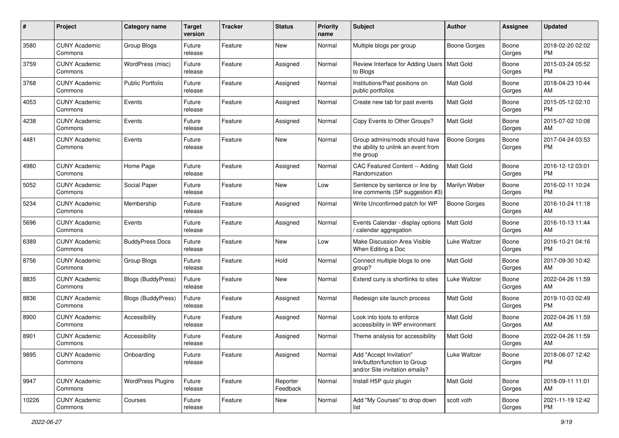| #     | Project                         | <b>Category name</b>      | <b>Target</b><br>version | <b>Tracker</b> | <b>Status</b>        | <b>Priority</b><br>name | Subject                                                                                    | Author           | <b>Assignee</b> | <b>Updated</b>                |
|-------|---------------------------------|---------------------------|--------------------------|----------------|----------------------|-------------------------|--------------------------------------------------------------------------------------------|------------------|-----------------|-------------------------------|
| 3580  | <b>CUNY Academic</b><br>Commons | <b>Group Blogs</b>        | Future<br>release        | Feature        | New                  | Normal                  | Multiple blogs per group                                                                   | Boone Gorges     | Boone<br>Gorges | 2018-02-20 02:02<br><b>PM</b> |
| 3759  | <b>CUNY Academic</b><br>Commons | WordPress (misc)          | Future<br>release        | Feature        | Assigned             | Normal                  | Review Interface for Adding Users   Matt Gold<br>to Blogs                                  |                  | Boone<br>Gorges | 2015-03-24 05:52<br><b>PM</b> |
| 3768  | <b>CUNY Academic</b><br>Commons | <b>Public Portfolio</b>   | Future<br>release        | Feature        | Assigned             | Normal                  | Institutions/Past positions on<br>public portfolios                                        | Matt Gold        | Boone<br>Gorges | 2018-04-23 10:44<br>AM        |
| 4053  | <b>CUNY Academic</b><br>Commons | Events                    | Future<br>release        | Feature        | Assigned             | Normal                  | Create new tab for past events                                                             | Matt Gold        | Boone<br>Gorges | 2015-05-12 02:10<br><b>PM</b> |
| 4238  | <b>CUNY Academic</b><br>Commons | Events                    | Future<br>release        | Feature        | Assigned             | Normal                  | Copy Events to Other Groups?                                                               | <b>Matt Gold</b> | Boone<br>Gorges | 2015-07-02 10:08<br>AM        |
| 4481  | <b>CUNY Academic</b><br>Commons | Events                    | Future<br>release        | Feature        | New                  | Normal                  | Group admins/mods should have<br>the ability to unlink an event from<br>the group          | Boone Gorges     | Boone<br>Gorges | 2017-04-24 03:53<br><b>PM</b> |
| 4980  | <b>CUNY Academic</b><br>Commons | Home Page                 | Future<br>release        | Feature        | Assigned             | Normal                  | CAC Featured Content -- Adding<br>Randomization                                            | Matt Gold        | Boone<br>Gorges | 2016-12-12 03:01<br><b>PM</b> |
| 5052  | <b>CUNY Academic</b><br>Commons | Social Paper              | Future<br>release        | Feature        | New                  | Low                     | Sentence by sentence or line by<br>line comments (SP suggestion #3)                        | Marilyn Weber    | Boone<br>Gorges | 2016-02-11 10:24<br><b>PM</b> |
| 5234  | <b>CUNY Academic</b><br>Commons | Membership                | Future<br>release        | Feature        | Assigned             | Normal                  | Write Unconfirmed patch for WP                                                             | Boone Gorges     | Boone<br>Gorges | 2016-10-24 11:18<br>AM        |
| 5696  | <b>CUNY Academic</b><br>Commons | Events                    | Future<br>release        | Feature        | Assigned             | Normal                  | Events Calendar - display options<br>/ calendar aggregation                                | Matt Gold        | Boone<br>Gorges | 2016-10-13 11:44<br>AM        |
| 6389  | <b>CUNY Academic</b><br>Commons | <b>BuddyPress Docs</b>    | Future<br>release        | Feature        | New                  | Low                     | Make Discussion Area Visible<br>When Editing a Doc                                         | Luke Waltzer     | Boone<br>Gorges | 2016-10-21 04:16<br><b>PM</b> |
| 8756  | <b>CUNY Academic</b><br>Commons | Group Blogs               | Future<br>release        | Feature        | Hold                 | Normal                  | Connect multiple blogs to one<br>group?                                                    | <b>Matt Gold</b> | Boone<br>Gorges | 2017-09-30 10:42<br>AM        |
| 8835  | <b>CUNY Academic</b><br>Commons | <b>Blogs (BuddyPress)</b> | Future<br>release        | Feature        | <b>New</b>           | Normal                  | Extend cuny.is shortlinks to sites                                                         | Luke Waltzer     | Boone<br>Gorges | 2022-04-26 11:59<br>AM        |
| 8836  | <b>CUNY Academic</b><br>Commons | <b>Blogs (BuddyPress)</b> | Future<br>release        | Feature        | Assigned             | Normal                  | Redesign site launch process                                                               | Matt Gold        | Boone<br>Gorges | 2019-10-03 02:49<br><b>PM</b> |
| 8900  | <b>CUNY Academic</b><br>Commons | Accessibility             | Future<br>release        | Feature        | Assigned             | Normal                  | Look into tools to enforce<br>accessibility in WP environment                              | Matt Gold        | Boone<br>Gorges | 2022-04-26 11:59<br>AM        |
| 8901  | <b>CUNY Academic</b><br>Commons | Accessibility             | Future<br>release        | Feature        | Assigned             | Normal                  | Theme analysis for accessibility                                                           | Matt Gold        | Boone<br>Gorges | 2022-04-26 11:59<br>AM        |
| 9895  | <b>CUNY Academic</b><br>Commons | Onboarding                | Future<br>release        | Feature        | Assigned             | Normal                  | Add "Accept Invitation"<br>link/button/function to Group<br>and/or Site invitation emails? | Luke Waltzer     | Boone<br>Gorges | 2018-06-07 12:42<br>PM        |
| 9947  | <b>CUNY Academic</b><br>Commons | <b>WordPress Plugins</b>  | Future<br>release        | Feature        | Reporter<br>Feedback | Normal                  | Install H5P quiz plugin                                                                    | Matt Gold        | Boone<br>Gorges | 2018-09-11 11:01<br>AM        |
| 10226 | <b>CUNY Academic</b><br>Commons | Courses                   | Future<br>release        | Feature        | New                  | Normal                  | Add "My Courses" to drop down<br>list                                                      | scott voth       | Boone<br>Gorges | 2021-11-19 12:42<br><b>PM</b> |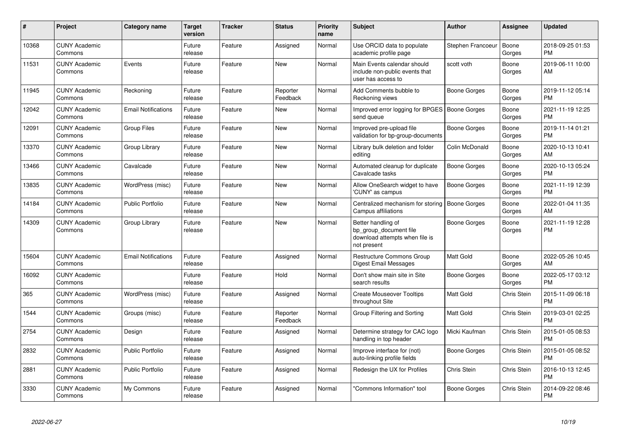| #     | <b>Project</b>                  | <b>Category name</b>       | <b>Target</b><br>version | Tracker | <b>Status</b>        | Priority<br>name | <b>Subject</b>                                                                                | <b>Author</b>       | Assignee        | <b>Updated</b>                |
|-------|---------------------------------|----------------------------|--------------------------|---------|----------------------|------------------|-----------------------------------------------------------------------------------------------|---------------------|-----------------|-------------------------------|
| 10368 | <b>CUNY Academic</b><br>Commons |                            | Future<br>release        | Feature | Assigned             | Normal           | Use ORCID data to populate<br>academic profile page                                           | Stephen Francoeur   | Boone<br>Gorges | 2018-09-25 01:53<br><b>PM</b> |
| 11531 | <b>CUNY Academic</b><br>Commons | Events                     | Future<br>release        | Feature | <b>New</b>           | Normal           | Main Events calendar should<br>include non-public events that<br>user has access to           | scott voth          | Boone<br>Gorges | 2019-06-11 10:00<br>AM        |
| 11945 | <b>CUNY Academic</b><br>Commons | Reckoning                  | Future<br>release        | Feature | Reporter<br>Feedback | Normal           | Add Comments bubble to<br>Reckoning views                                                     | <b>Boone Gorges</b> | Boone<br>Gorges | 2019-11-12 05:14<br><b>PM</b> |
| 12042 | <b>CUNY Academic</b><br>Commons | <b>Email Notifications</b> | Future<br>release        | Feature | <b>New</b>           | Normal           | Improved error logging for BPGES   Boone Gorges<br>send queue                                 |                     | Boone<br>Gorges | 2021-11-19 12:25<br><b>PM</b> |
| 12091 | <b>CUNY Academic</b><br>Commons | <b>Group Files</b>         | Future<br>release        | Feature | New                  | Normal           | Improved pre-upload file<br>validation for bp-group-documents                                 | Boone Gorges        | Boone<br>Gorges | 2019-11-14 01:21<br><b>PM</b> |
| 13370 | <b>CUNY Academic</b><br>Commons | Group Library              | Future<br>release        | Feature | New                  | Normal           | Library bulk deletion and folder<br>editing                                                   | Colin McDonald      | Boone<br>Gorges | 2020-10-13 10:41<br>AM        |
| 13466 | <b>CUNY Academic</b><br>Commons | Cavalcade                  | Future<br>release        | Feature | <b>New</b>           | Normal           | Automated cleanup for duplicate<br>Cavalcade tasks                                            | <b>Boone Gorges</b> | Boone<br>Gorges | 2020-10-13 05:24<br><b>PM</b> |
| 13835 | <b>CUNY Academic</b><br>Commons | WordPress (misc)           | Future<br>release        | Feature | <b>New</b>           | Normal           | Allow OneSearch widget to have<br>'CUNY' as campus                                            | <b>Boone Gorges</b> | Boone<br>Gorges | 2021-11-19 12:39<br><b>PM</b> |
| 14184 | <b>CUNY Academic</b><br>Commons | <b>Public Portfolio</b>    | Future<br>release        | Feature | <b>New</b>           | Normal           | Centralized mechanism for storing<br><b>Campus affiliations</b>                               | Boone Gorges        | Boone<br>Gorges | 2022-01-04 11:35<br>AM        |
| 14309 | <b>CUNY Academic</b><br>Commons | Group Library              | Future<br>release        | Feature | New                  | Normal           | Better handling of<br>bp group document file<br>download attempts when file is<br>not present | Boone Gorges        | Boone<br>Gorges | 2021-11-19 12:28<br><b>PM</b> |
| 15604 | <b>CUNY Academic</b><br>Commons | <b>Email Notifications</b> | Future<br>release        | Feature | Assigned             | Normal           | Restructure Commons Group<br>Digest Email Messages                                            | Matt Gold           | Boone<br>Gorges | 2022-05-26 10:45<br>AM        |
| 16092 | <b>CUNY Academic</b><br>Commons |                            | Future<br>release        | Feature | Hold                 | Normal           | Don't show main site in Site<br>search results                                                | Boone Gorges        | Boone<br>Gorges | 2022-05-17 03:12<br><b>PM</b> |
| 365   | <b>CUNY Academic</b><br>Commons | WordPress (misc)           | Future<br>release        | Feature | Assigned             | Normal           | <b>Create Mouseover Tooltips</b><br>throughout Site                                           | Matt Gold           | Chris Stein     | 2015-11-09 06:18<br><b>PM</b> |
| 1544  | <b>CUNY Academic</b><br>Commons | Groups (misc)              | Future<br>release        | Feature | Reporter<br>Feedback | Normal           | Group Filtering and Sorting                                                                   | Matt Gold           | Chris Stein     | 2019-03-01 02:25<br><b>PM</b> |
| 2754  | <b>CUNY Academic</b><br>Commons | Design                     | Future<br>release        | Feature | Assigned             | Normal           | Determine strategy for CAC logo<br>handling in top header                                     | Micki Kaufman       | Chris Stein     | 2015-01-05 08:53<br><b>PM</b> |
| 2832  | <b>CUNY Academic</b><br>Commons | Public Portfolio           | Future<br>release        | Feature | Assigned             | Normal           | Improve interface for (not)<br>auto-linking profile fields                                    | Boone Gorges        | Chris Stein     | 2015-01-05 08:52<br><b>PM</b> |
| 2881  | <b>CUNY Academic</b><br>Commons | <b>Public Portfolio</b>    | Future<br>release        | Feature | Assigned             | Normal           | Redesign the UX for Profiles                                                                  | <b>Chris Stein</b>  | Chris Stein     | 2016-10-13 12:45<br><b>PM</b> |
| 3330  | <b>CUNY Academic</b><br>Commons | My Commons                 | Future<br>release        | Feature | Assigned             | Normal           | 'Commons Information" tool                                                                    | <b>Boone Gorges</b> | Chris Stein     | 2014-09-22 08:46<br><b>PM</b> |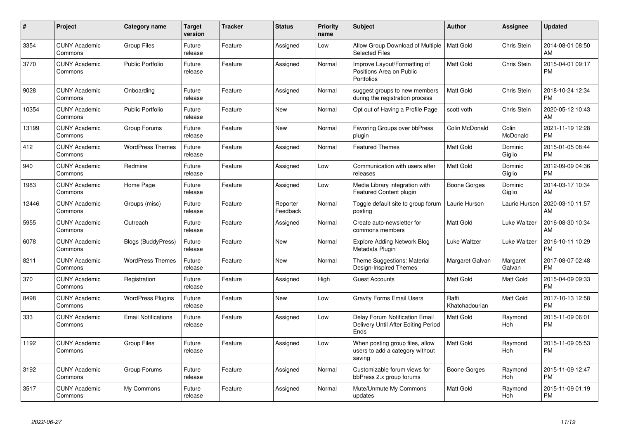| #     | <b>Project</b>                  | <b>Category name</b>       | <b>Target</b><br>version | Tracker | <b>Status</b>        | Priority<br>name | <b>Subject</b>                                                                | <b>Author</b>           | Assignee           | <b>Updated</b>                |
|-------|---------------------------------|----------------------------|--------------------------|---------|----------------------|------------------|-------------------------------------------------------------------------------|-------------------------|--------------------|-------------------------------|
| 3354  | <b>CUNY Academic</b><br>Commons | <b>Group Files</b>         | Future<br>release        | Feature | Assigned             | Low              | Allow Group Download of Multiple<br><b>Selected Files</b>                     | <b>Matt Gold</b>        | Chris Stein        | 2014-08-01 08:50<br>AM        |
| 3770  | <b>CUNY Academic</b><br>Commons | <b>Public Portfolio</b>    | Future<br>release        | Feature | Assigned             | Normal           | Improve Layout/Formatting of<br>Positions Area on Public<br>Portfolios        | <b>Matt Gold</b>        | Chris Stein        | 2015-04-01 09:17<br><b>PM</b> |
| 9028  | <b>CUNY Academic</b><br>Commons | Onboarding                 | Future<br>release        | Feature | Assigned             | Normal           | suggest groups to new members<br>during the registration process              | <b>Matt Gold</b>        | Chris Stein        | 2018-10-24 12:34<br><b>PM</b> |
| 10354 | <b>CUNY Academic</b><br>Commons | <b>Public Portfolio</b>    | Future<br>release        | Feature | <b>New</b>           | Normal           | Opt out of Having a Profile Page                                              | scott voth              | Chris Stein        | 2020-05-12 10:43<br>AM        |
| 13199 | <b>CUNY Academic</b><br>Commons | Group Forums               | Future<br>release        | Feature | New                  | Normal           | Favoring Groups over bbPress<br>plugin                                        | Colin McDonald          | Colin<br>McDonald  | 2021-11-19 12:28<br><b>PM</b> |
| 412   | <b>CUNY Academic</b><br>Commons | <b>WordPress Themes</b>    | Future<br>release        | Feature | Assigned             | Normal           | <b>Featured Themes</b>                                                        | <b>Matt Gold</b>        | Dominic<br>Giglio  | 2015-01-05 08:44<br><b>PM</b> |
| 940   | <b>CUNY Academic</b><br>Commons | Redmine                    | Future<br>release        | Feature | Assigned             | Low              | Communication with users after<br>releases                                    | Matt Gold               | Dominic<br>Giglio  | 2012-09-09 04:36<br><b>PM</b> |
| 1983  | <b>CUNY Academic</b><br>Commons | Home Page                  | Future<br>release        | Feature | Assigned             | Low              | Media Library integration with<br>Featured Content plugin                     | Boone Gorges            | Dominic<br>Giglio  | 2014-03-17 10:34<br>AM        |
| 12446 | <b>CUNY Academic</b><br>Commons | Groups (misc)              | Future<br>release        | Feature | Reporter<br>Feedback | Normal           | Toggle default site to group forum<br>posting                                 | Laurie Hurson           | Laurie Hurson      | 2020-03-10 11:57<br>AM        |
| 5955  | <b>CUNY Academic</b><br>Commons | Outreach                   | Future<br>release        | Feature | Assigned             | Normal           | Create auto-newsletter for<br>commons members                                 | Matt Gold               | Luke Waltzer       | 2016-08-30 10:34<br>AM        |
| 6078  | <b>CUNY Academic</b><br>Commons | <b>Blogs (BuddyPress)</b>  | Future<br>release        | Feature | <b>New</b>           | Normal           | <b>Explore Adding Network Blog</b><br>Metadata Plugin                         | Luke Waltzer            | Luke Waltzer       | 2016-10-11 10:29<br><b>PM</b> |
| 8211  | <b>CUNY Academic</b><br>Commons | <b>WordPress Themes</b>    | Future<br>release        | Feature | New                  | Normal           | Theme Suggestions: Material<br>Design-Inspired Themes                         | Margaret Galvan         | Margaret<br>Galvan | 2017-08-07 02:48<br><b>PM</b> |
| 370   | <b>CUNY Academic</b><br>Commons | Registration               | Future<br>release        | Feature | Assigned             | High             | <b>Guest Accounts</b>                                                         | Matt Gold               | Matt Gold          | 2015-04-09 09:33<br><b>PM</b> |
| 8498  | <b>CUNY Academic</b><br>Commons | <b>WordPress Plugins</b>   | Future<br>release        | Feature | <b>New</b>           | Low              | <b>Gravity Forms Email Users</b>                                              | Raffi<br>Khatchadourian | Matt Gold          | 2017-10-13 12:58<br><b>PM</b> |
| 333   | <b>CUNY Academic</b><br>Commons | <b>Email Notifications</b> | Future<br>release        | Feature | Assigned             | Low              | Delay Forum Notification Email<br>Delivery Until After Editing Period<br>Ends | Matt Gold               | Raymond<br>Hoh     | 2015-11-09 06:01<br><b>PM</b> |
| 1192  | <b>CUNY Academic</b><br>Commons | <b>Group Files</b>         | Future<br>release        | Feature | Assigned             | Low              | When posting group files, allow<br>users to add a category without<br>saving  | Matt Gold               | Raymond<br>Hoh     | 2015-11-09 05:53<br><b>PM</b> |
| 3192  | <b>CUNY Academic</b><br>Commons | Group Forums               | Future<br>release        | Feature | Assigned             | Normal           | Customizable forum views for<br>bbPress 2.x group forums                      | Boone Gorges            | Raymond<br>Hoh     | 2015-11-09 12:47<br><b>PM</b> |
| 3517  | <b>CUNY Academic</b><br>Commons | My Commons                 | Future<br>release        | Feature | Assigned             | Normal           | Mute/Unmute My Commons<br>updates                                             | Matt Gold               | Raymond<br>Hoh     | 2015-11-09 01:19<br>PM        |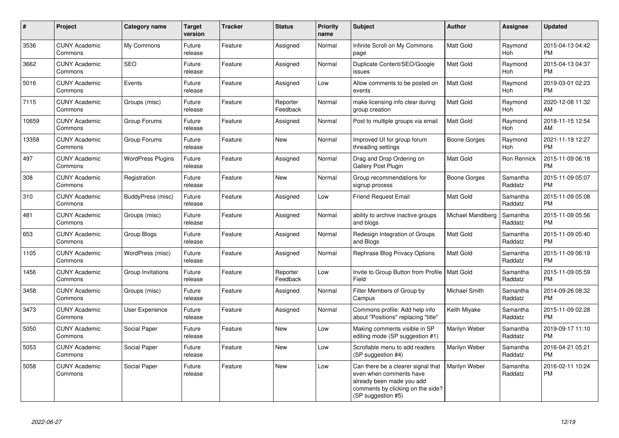| #     | Project                         | <b>Category name</b>     | Target<br>version | <b>Tracker</b> | <b>Status</b>        | <b>Priority</b><br>name | <b>Subject</b>                                                                                                                                        | <b>Author</b>     | <b>Assignee</b>       | <b>Updated</b>                |
|-------|---------------------------------|--------------------------|-------------------|----------------|----------------------|-------------------------|-------------------------------------------------------------------------------------------------------------------------------------------------------|-------------------|-----------------------|-------------------------------|
| 3536  | <b>CUNY Academic</b><br>Commons | My Commons               | Future<br>release | Feature        | Assigned             | Normal                  | Infinite Scroll on My Commons<br>page                                                                                                                 | <b>Matt Gold</b>  | Raymond<br><b>Hoh</b> | 2015-04-13 04:42<br><b>PM</b> |
| 3662  | <b>CUNY Academic</b><br>Commons | <b>SEO</b>               | Future<br>release | Feature        | Assigned             | Normal                  | Duplicate Content/SEO/Google<br>issues                                                                                                                | Matt Gold         | Raymond<br><b>Hoh</b> | 2015-04-13 04:37<br><b>PM</b> |
| 5016  | <b>CUNY Academic</b><br>Commons | Events                   | Future<br>release | Feature        | Assigned             | Low                     | Allow comments to be posted on<br>events                                                                                                              | Matt Gold         | Raymond<br>Hoh        | 2019-03-01 02:23<br><b>PM</b> |
| 7115  | <b>CUNY Academic</b><br>Commons | Groups (misc)            | Future<br>release | Feature        | Reporter<br>Feedback | Normal                  | make licensing info clear during<br>group creation                                                                                                    | <b>Matt Gold</b>  | Raymond<br>Hoh        | 2020-12-08 11:32<br>AM        |
| 10659 | <b>CUNY Academic</b><br>Commons | Group Forums             | Future<br>release | Feature        | Assigned             | Normal                  | Post to multiple groups via email                                                                                                                     | <b>Matt Gold</b>  | Raymond<br>Hoh        | 2018-11-15 12:54<br>AM        |
| 13358 | <b>CUNY Academic</b><br>Commons | Group Forums             | Future<br>release | Feature        | <b>New</b>           | Normal                  | Improved UI for group forum<br>threading settings                                                                                                     | Boone Gorges      | Raymond<br>Hoh        | 2021-11-19 12:27<br><b>PM</b> |
| 497   | <b>CUNY Academic</b><br>Commons | <b>WordPress Plugins</b> | Future<br>release | Feature        | Assigned             | Normal                  | Drag and Drop Ordering on<br><b>Gallery Post Plugin</b>                                                                                               | Matt Gold         | Ron Rennick           | 2015-11-09 06:18<br><b>PM</b> |
| 308   | <b>CUNY Academic</b><br>Commons | Registration             | Future<br>release | Feature        | <b>New</b>           | Normal                  | Group recommendations for<br>signup process                                                                                                           | Boone Gorges      | Samantha<br>Raddatz   | 2015-11-09 05:07<br><b>PM</b> |
| 310   | <b>CUNY Academic</b><br>Commons | BuddyPress (misc)        | Future<br>release | Feature        | Assigned             | Low                     | <b>Friend Request Email</b>                                                                                                                           | Matt Gold         | Samantha<br>Raddatz   | 2015-11-09 05:08<br><b>PM</b> |
| 481   | <b>CUNY Academic</b><br>Commons | Groups (misc)            | Future<br>release | Feature        | Assigned             | Normal                  | ability to archive inactive groups<br>and blogs                                                                                                       | Michael Mandiberg | Samantha<br>Raddatz   | 2015-11-09 05:56<br><b>PM</b> |
| 653   | <b>CUNY Academic</b><br>Commons | Group Blogs              | Future<br>release | Feature        | Assigned             | Normal                  | Redesign Integration of Groups<br>and Blogs                                                                                                           | Matt Gold         | Samantha<br>Raddatz   | 2015-11-09 05:40<br><b>PM</b> |
| 1105  | <b>CUNY Academic</b><br>Commons | WordPress (misc)         | Future<br>release | Feature        | Assigned             | Normal                  | Rephrase Blog Privacy Options                                                                                                                         | <b>Matt Gold</b>  | Samantha<br>Raddatz   | 2015-11-09 06:19<br><b>PM</b> |
| 1456  | <b>CUNY Academic</b><br>Commons | Group Invitations        | Future<br>release | Feature        | Reporter<br>Feedback | Low                     | Invite to Group Button from Profile  <br>Field                                                                                                        | <b>Matt Gold</b>  | Samantha<br>Raddatz   | 2015-11-09 05:59<br><b>PM</b> |
| 3458  | <b>CUNY Academic</b><br>Commons | Groups (misc)            | Future<br>release | Feature        | Assigned             | Normal                  | Filter Members of Group by<br>Campus                                                                                                                  | Michael Smith     | Samantha<br>Raddatz   | 2014-09-26 08:32<br><b>PM</b> |
| 3473  | <b>CUNY Academic</b><br>Commons | <b>User Experience</b>   | Future<br>release | Feature        | Assigned             | Normal                  | Commons profile: Add help info<br>about "Positions" replacing "title"                                                                                 | Keith Miyake      | Samantha<br>Raddatz   | 2015-11-09 02:28<br><b>PM</b> |
| 5050  | <b>CUNY Academic</b><br>Commons | Social Paper             | Future<br>release | Feature        | New                  | Low                     | Making comments visible in SP<br>editing mode (SP suggestion #1)                                                                                      | Marilyn Weber     | Samantha<br>Raddatz   | 2019-09-17 11:10<br><b>PM</b> |
| 5053  | <b>CUNY Academic</b><br>Commons | Social Paper             | Future<br>release | Feature        | New                  | Low                     | Scrollable menu to add readers<br>(SP suggestion #4)                                                                                                  | Marilyn Weber     | Samantha<br>Raddatz   | 2016-04-21 05:21<br><b>PM</b> |
| 5058  | <b>CUNY Academic</b><br>Commons | Social Paper             | Future<br>release | Feature        | New                  | Low                     | Can there be a clearer signal that<br>even when comments have<br>already been made you add<br>comments by clicking on the side?<br>(SP suggestion #5) | Marilyn Weber     | Samantha<br>Raddatz   | 2016-02-11 10:24<br><b>PM</b> |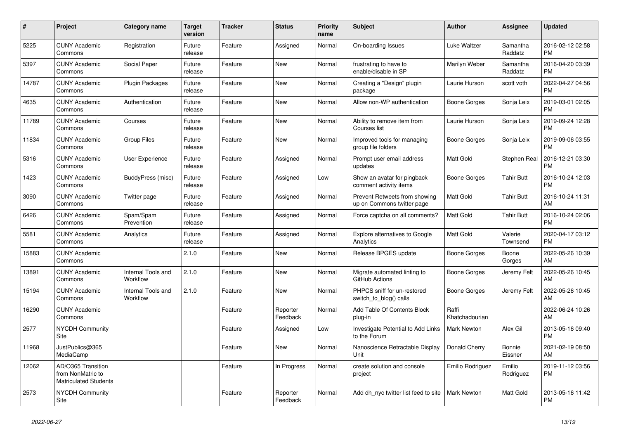| $\pmb{\#}$ | <b>Project</b>                                                          | <b>Category name</b>           | <b>Target</b><br>version | <b>Tracker</b> | <b>Status</b>        | <b>Priority</b><br>name | <b>Subject</b>                                              | <b>Author</b>           | <b>Assignee</b>     | <b>Updated</b>                |
|------------|-------------------------------------------------------------------------|--------------------------------|--------------------------|----------------|----------------------|-------------------------|-------------------------------------------------------------|-------------------------|---------------------|-------------------------------|
| 5225       | <b>CUNY Academic</b><br>Commons                                         | Registration                   | Future<br>release        | Feature        | Assigned             | Normal                  | On-boarding Issues                                          | Luke Waltzer            | Samantha<br>Raddatz | 2016-02-12 02:58<br><b>PM</b> |
| 5397       | <b>CUNY Academic</b><br>Commons                                         | Social Paper                   | Future<br>release        | Feature        | <b>New</b>           | Normal                  | frustrating to have to<br>enable/disable in SP              | Marilyn Weber           | Samantha<br>Raddatz | 2016-04-20 03:39<br><b>PM</b> |
| 14787      | <b>CUNY Academic</b><br>Commons                                         | Plugin Packages                | Future<br>release        | Feature        | <b>New</b>           | Normal                  | Creating a "Design" plugin<br>package                       | Laurie Hurson           | scott voth          | 2022-04-27 04:56<br><b>PM</b> |
| 4635       | <b>CUNY Academic</b><br>Commons                                         | Authentication                 | Future<br>release        | Feature        | New                  | Normal                  | Allow non-WP authentication                                 | Boone Gorges            | Sonja Leix          | 2019-03-01 02:05<br><b>PM</b> |
| 11789      | <b>CUNY Academic</b><br>Commons                                         | Courses                        | Future<br>release        | Feature        | <b>New</b>           | Normal                  | Ability to remove item from<br>Courses list                 | Laurie Hurson           | Sonja Leix          | 2019-09-24 12:28<br><b>PM</b> |
| 11834      | <b>CUNY Academic</b><br>Commons                                         | <b>Group Files</b>             | Future<br>release        | Feature        | New                  | Normal                  | Improved tools for managing<br>group file folders           | Boone Gorges            | Sonja Leix          | 2019-09-06 03:55<br><b>PM</b> |
| 5316       | <b>CUNY Academic</b><br>Commons                                         | <b>User Experience</b>         | Future<br>release        | Feature        | Assigned             | Normal                  | Prompt user email address<br>updates                        | Matt Gold               | Stephen Real        | 2016-12-21 03:30<br><b>PM</b> |
| 1423       | <b>CUNY Academic</b><br>Commons                                         | BuddyPress (misc)              | Future<br>release        | Feature        | Assigned             | Low                     | Show an avatar for pingback<br>comment activity items       | Boone Gorges            | <b>Tahir Butt</b>   | 2016-10-24 12:03<br><b>PM</b> |
| 3090       | <b>CUNY Academic</b><br>Commons                                         | Twitter page                   | Future<br>release        | Feature        | Assigned             | Normal                  | Prevent Retweets from showing<br>up on Commons twitter page | Matt Gold               | <b>Tahir Butt</b>   | 2016-10-24 11:31<br>AM        |
| 6426       | <b>CUNY Academic</b><br>Commons                                         | Spam/Spam<br>Prevention        | Future<br>release        | Feature        | Assigned             | Normal                  | Force captcha on all comments?                              | <b>Matt Gold</b>        | <b>Tahir Butt</b>   | 2016-10-24 02:06<br><b>PM</b> |
| 5581       | <b>CUNY Academic</b><br>Commons                                         | Analytics                      | Future<br>release        | Feature        | Assigned             | Normal                  | <b>Explore alternatives to Google</b><br>Analytics          | Matt Gold               | Valerie<br>Townsend | 2020-04-17 03:12<br><b>PM</b> |
| 15883      | <b>CUNY Academic</b><br>Commons                                         |                                | 2.1.0                    | Feature        | <b>New</b>           | Normal                  | Release BPGES update                                        | Boone Gorges            | Boone<br>Gorges     | 2022-05-26 10:39<br>AM        |
| 13891      | <b>CUNY Academic</b><br>Commons                                         | Internal Tools and<br>Workflow | 2.1.0                    | Feature        | New                  | Normal                  | Migrate automated linting to<br>GitHub Actions              | Boone Gorges            | Jeremy Felt         | 2022-05-26 10:45<br>AM        |
| 15194      | <b>CUNY Academic</b><br>Commons                                         | Internal Tools and<br>Workflow | 2.1.0                    | Feature        | <b>New</b>           | Normal                  | PHPCS sniff for un-restored<br>switch to blog() calls       | Boone Gorges            | Jeremy Felt         | 2022-05-26 10:45<br>AM        |
| 16290      | <b>CUNY Academic</b><br>Commons                                         |                                |                          | Feature        | Reporter<br>Feedback | Normal                  | Add Table Of Contents Block<br>plug-in                      | Raffi<br>Khatchadourian |                     | 2022-06-24 10:26<br>AM        |
| 2577       | <b>NYCDH Community</b><br>Site                                          |                                |                          | Feature        | Assigned             | Low                     | Investigate Potential to Add Links<br>to the Forum          | <b>Mark Newton</b>      | Alex Gil            | 2013-05-16 09:40<br><b>PM</b> |
| 11968      | JustPublics@365<br>MediaCamp                                            |                                |                          | Feature        | New                  | Normal                  | Nanoscience Retractable Display<br>Unit                     | Donald Cherry           | Bonnie<br>Eissner   | 2021-02-19 08:50<br>AM        |
| 12062      | AD/O365 Transition<br>from NonMatric to<br><b>Matriculated Students</b> |                                |                          | Feature        | In Progress          | Normal                  | create solution and console<br>project                      | Emilio Rodriguez        | Emilio<br>Rodriguez | 2019-11-12 03:56<br><b>PM</b> |
| 2573       | <b>NYCDH Community</b><br>Site                                          |                                |                          | Feature        | Reporter<br>Feedback | Normal                  | Add dh_nyc twitter list feed to site                        | <b>Mark Newton</b>      | Matt Gold           | 2013-05-16 11:42<br><b>PM</b> |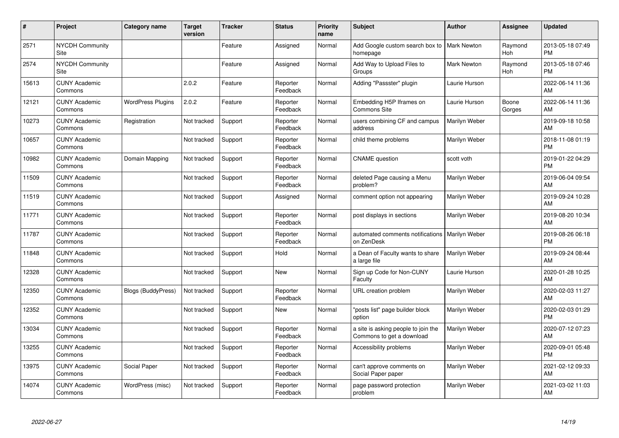| #     | Project                         | Category name             | <b>Target</b><br>version | <b>Tracker</b> | <b>Status</b>        | <b>Priority</b><br>name | <b>Subject</b>                                                   | <b>Author</b>      | <b>Assignee</b>       | <b>Updated</b>                |
|-------|---------------------------------|---------------------------|--------------------------|----------------|----------------------|-------------------------|------------------------------------------------------------------|--------------------|-----------------------|-------------------------------|
| 2571  | <b>NYCDH Community</b><br>Site  |                           |                          | Feature        | Assigned             | Normal                  | Add Google custom search box to<br>homepage                      | <b>Mark Newton</b> | Raymond<br><b>Hoh</b> | 2013-05-18 07:49<br><b>PM</b> |
| 2574  | <b>NYCDH Community</b><br>Site  |                           |                          | Feature        | Assigned             | Normal                  | Add Way to Upload Files to<br>Groups                             | Mark Newton        | Raymond<br><b>Hoh</b> | 2013-05-18 07:46<br><b>PM</b> |
| 15613 | <b>CUNY Academic</b><br>Commons |                           | 2.0.2                    | Feature        | Reporter<br>Feedback | Normal                  | Adding "Passster" plugin                                         | Laurie Hurson      |                       | 2022-06-14 11:36<br>AM        |
| 12121 | <b>CUNY Academic</b><br>Commons | <b>WordPress Plugins</b>  | 2.0.2                    | Feature        | Reporter<br>Feedback | Normal                  | Embedding H5P Iframes on<br>Commons Site                         | Laurie Hurson      | Boone<br>Gorges       | 2022-06-14 11:36<br>AM        |
| 10273 | <b>CUNY Academic</b><br>Commons | Registration              | Not tracked              | Support        | Reporter<br>Feedback | Normal                  | users combining CF and campus<br>address                         | Marilyn Weber      |                       | 2019-09-18 10:58<br>AM        |
| 10657 | <b>CUNY Academic</b><br>Commons |                           | Not tracked              | Support        | Reporter<br>Feedback | Normal                  | child theme problems                                             | Marilyn Weber      |                       | 2018-11-08 01:19<br><b>PM</b> |
| 10982 | <b>CUNY Academic</b><br>Commons | Domain Mapping            | Not tracked              | Support        | Reporter<br>Feedback | Normal                  | <b>CNAME</b> question                                            | scott voth         |                       | 2019-01-22 04:29<br>PM        |
| 11509 | <b>CUNY Academic</b><br>Commons |                           | Not tracked              | Support        | Reporter<br>Feedback | Normal                  | deleted Page causing a Menu<br>problem?                          | Marilyn Weber      |                       | 2019-06-04 09:54<br>AM        |
| 11519 | <b>CUNY Academic</b><br>Commons |                           | Not tracked              | Support        | Assigned             | Normal                  | comment option not appearing                                     | Marilyn Weber      |                       | 2019-09-24 10:28<br>AM        |
| 11771 | <b>CUNY Academic</b><br>Commons |                           | Not tracked              | Support        | Reporter<br>Feedback | Normal                  | post displays in sections                                        | Marilyn Weber      |                       | 2019-08-20 10:34<br>AM        |
| 11787 | <b>CUNY Academic</b><br>Commons |                           | Not tracked              | Support        | Reporter<br>Feedback | Normal                  | automated comments notifications<br>on ZenDesk                   | Marilyn Weber      |                       | 2019-08-26 06:18<br><b>PM</b> |
| 11848 | <b>CUNY Academic</b><br>Commons |                           | Not tracked              | Support        | Hold                 | Normal                  | a Dean of Faculty wants to share<br>a large file                 | Marilyn Weber      |                       | 2019-09-24 08:44<br>AM        |
| 12328 | <b>CUNY Academic</b><br>Commons |                           | Not tracked              | Support        | <b>New</b>           | Normal                  | Sign up Code for Non-CUNY<br>Faculty                             | Laurie Hurson      |                       | 2020-01-28 10:25<br>AM        |
| 12350 | <b>CUNY Academic</b><br>Commons | <b>Blogs (BuddyPress)</b> | Not tracked              | Support        | Reporter<br>Feedback | Normal                  | URL creation problem                                             | Marilyn Weber      |                       | 2020-02-03 11:27<br>AM        |
| 12352 | <b>CUNY Academic</b><br>Commons |                           | Not tracked              | Support        | New                  | Normal                  | 'posts list" page builder block<br>option                        | Marilyn Weber      |                       | 2020-02-03 01:29<br><b>PM</b> |
| 13034 | <b>CUNY Academic</b><br>Commons |                           | Not tracked              | Support        | Reporter<br>Feedback | Normal                  | a site is asking people to join the<br>Commons to get a download | Marilyn Weber      |                       | 2020-07-12 07:23<br>AM        |
| 13255 | <b>CUNY Academic</b><br>Commons |                           | Not tracked              | Support        | Reporter<br>Feedback | Normal                  | Accessibility problems                                           | Marilyn Weber      |                       | 2020-09-01 05:48<br><b>PM</b> |
| 13975 | <b>CUNY Academic</b><br>Commons | Social Paper              | Not tracked              | Support        | Reporter<br>Feedback | Normal                  | can't approve comments on<br>Social Paper paper                  | Marilyn Weber      |                       | 2021-02-12 09:33<br>AM        |
| 14074 | <b>CUNY Academic</b><br>Commons | WordPress (misc)          | Not tracked              | Support        | Reporter<br>Feedback | Normal                  | page password protection<br>problem                              | Marilyn Weber      |                       | 2021-03-02 11:03<br>AM        |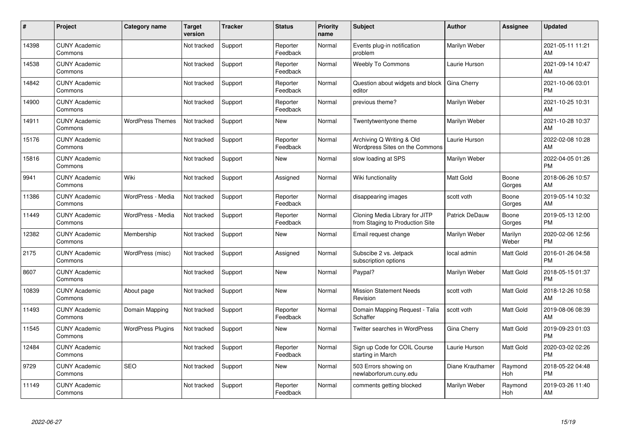| #     | Project                         | <b>Category name</b>     | <b>Target</b><br>version | <b>Tracker</b> | <b>Status</b>        | <b>Priority</b><br>name | <b>Subject</b>                                                    | Author           | <b>Assignee</b>  | <b>Updated</b>                |
|-------|---------------------------------|--------------------------|--------------------------|----------------|----------------------|-------------------------|-------------------------------------------------------------------|------------------|------------------|-------------------------------|
| 14398 | <b>CUNY Academic</b><br>Commons |                          | Not tracked              | Support        | Reporter<br>Feedback | Normal                  | Events plug-in notification<br>problem                            | Marilyn Weber    |                  | 2021-05-11 11:21<br>AM        |
| 14538 | <b>CUNY Academic</b><br>Commons |                          | Not tracked              | Support        | Reporter<br>Feedback | Normal                  | <b>Weebly To Commons</b>                                          | Laurie Hurson    |                  | 2021-09-14 10:47<br>AM        |
| 14842 | <b>CUNY Academic</b><br>Commons |                          | Not tracked              | Support        | Reporter<br>Feedback | Normal                  | Question about widgets and block<br>editor                        | Gina Cherry      |                  | 2021-10-06 03:01<br><b>PM</b> |
| 14900 | <b>CUNY Academic</b><br>Commons |                          | Not tracked              | Support        | Reporter<br>Feedback | Normal                  | previous theme?                                                   | Marilyn Weber    |                  | 2021-10-25 10:31<br>AM        |
| 14911 | <b>CUNY Academic</b><br>Commons | <b>WordPress Themes</b>  | Not tracked              | Support        | New                  | Normal                  | Twentytwentyone theme                                             | Marilyn Weber    |                  | 2021-10-28 10:37<br>AM        |
| 15176 | <b>CUNY Academic</b><br>Commons |                          | Not tracked              | Support        | Reporter<br>Feedback | Normal                  | Archiving Q Writing & Old<br>Wordpress Sites on the Commons       | Laurie Hurson    |                  | 2022-02-08 10:28<br>AM        |
| 15816 | <b>CUNY Academic</b><br>Commons |                          | Not tracked              | Support        | <b>New</b>           | Normal                  | slow loading at SPS                                               | Marilyn Weber    |                  | 2022-04-05 01:26<br><b>PM</b> |
| 9941  | <b>CUNY Academic</b><br>Commons | Wiki                     | Not tracked              | Support        | Assigned             | Normal                  | Wiki functionality                                                | <b>Matt Gold</b> | Boone<br>Gorges  | 2018-06-26 10:57<br>AM        |
| 11386 | <b>CUNY Academic</b><br>Commons | WordPress - Media        | Not tracked              | Support        | Reporter<br>Feedback | Normal                  | disappearing images                                               | scott voth       | Boone<br>Gorges  | 2019-05-14 10:32<br>AM        |
| 11449 | <b>CUNY Academic</b><br>Commons | WordPress - Media        | Not tracked              | Support        | Reporter<br>Feedback | Normal                  | Cloning Media Library for JITP<br>from Staging to Production Site | Patrick DeDauw   | Boone<br>Gorges  | 2019-05-13 12:00<br><b>PM</b> |
| 12382 | <b>CUNY Academic</b><br>Commons | Membership               | Not tracked              | Support        | New                  | Normal                  | Email request change                                              | Marilyn Weber    | Marilyn<br>Weber | 2020-02-06 12:56<br><b>PM</b> |
| 2175  | <b>CUNY Academic</b><br>Commons | WordPress (misc)         | Not tracked              | Support        | Assigned             | Normal                  | Subscibe 2 vs. Jetpack<br>subscription options                    | local admin      | Matt Gold        | 2016-01-26 04:58<br><b>PM</b> |
| 8607  | <b>CUNY Academic</b><br>Commons |                          | Not tracked              | Support        | New                  | Normal                  | Paypal?                                                           | Marilyn Weber    | Matt Gold        | 2018-05-15 01:37<br><b>PM</b> |
| 10839 | <b>CUNY Academic</b><br>Commons | About page               | Not tracked              | Support        | <b>New</b>           | Normal                  | <b>Mission Statement Needs</b><br>Revision                        | scott voth       | Matt Gold        | 2018-12-26 10:58<br>AM        |
| 11493 | <b>CUNY Academic</b><br>Commons | Domain Mapping           | Not tracked              | Support        | Reporter<br>Feedback | Normal                  | Domain Mapping Request - Talia<br>Schaffer                        | scott voth       | Matt Gold        | 2019-08-06 08:39<br>AM        |
| 11545 | <b>CUNY Academic</b><br>Commons | <b>WordPress Plugins</b> | Not tracked              | Support        | <b>New</b>           | Normal                  | Twitter searches in WordPress                                     | Gina Cherry      | Matt Gold        | 2019-09-23 01:03<br><b>PM</b> |
| 12484 | <b>CUNY Academic</b><br>Commons |                          | Not tracked              | Support        | Reporter<br>Feedback | Normal                  | Sign up Code for COIL Course<br>starting in March                 | Laurie Hurson    | Matt Gold        | 2020-03-02 02:26<br><b>PM</b> |
| 9729  | <b>CUNY Academic</b><br>Commons | <b>SEO</b>               | Not tracked              | Support        | <b>New</b>           | Normal                  | 503 Errors showing on<br>newlaborforum.cuny.edu                   | Diane Krauthamer | Raymond<br>Hoh   | 2018-05-22 04:48<br><b>PM</b> |
| 11149 | <b>CUNY Academic</b><br>Commons |                          | Not tracked              | Support        | Reporter<br>Feedback | Normal                  | comments getting blocked                                          | Marilyn Weber    | Raymond<br>Hoh   | 2019-03-26 11:40<br>AM        |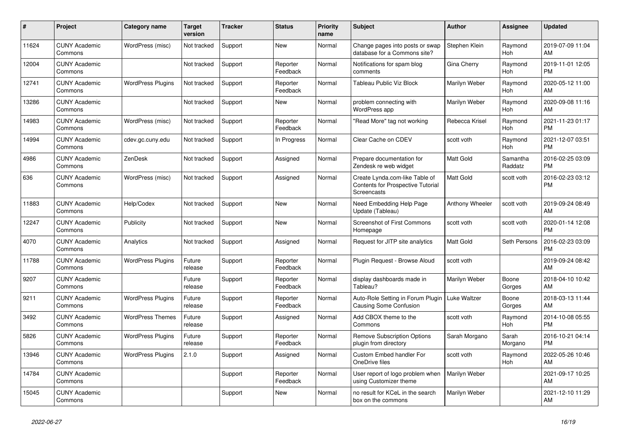| $\pmb{\#}$ | Project                         | Category name            | <b>Target</b><br>version | <b>Tracker</b> | <b>Status</b>        | <b>Priority</b><br>name | <b>Subject</b>                                                                     | <b>Author</b>    | <b>Assignee</b>       | <b>Updated</b>                |
|------------|---------------------------------|--------------------------|--------------------------|----------------|----------------------|-------------------------|------------------------------------------------------------------------------------|------------------|-----------------------|-------------------------------|
| 11624      | <b>CUNY Academic</b><br>Commons | WordPress (misc)         | Not tracked              | Support        | <b>New</b>           | Normal                  | Change pages into posts or swap<br>database for a Commons site?                    | Stephen Klein    | Raymond<br><b>Hoh</b> | 2019-07-09 11:04<br>AM        |
| 12004      | <b>CUNY Academic</b><br>Commons |                          | Not tracked              | Support        | Reporter<br>Feedback | Normal                  | Notifications for spam blog<br>comments                                            | Gina Cherry      | Raymond<br>Hoh        | 2019-11-01 12:05<br><b>PM</b> |
| 12741      | <b>CUNY Academic</b><br>Commons | WordPress Plugins        | Not tracked              | Support        | Reporter<br>Feedback | Normal                  | <b>Tableau Public Viz Block</b>                                                    | Marilyn Weber    | Raymond<br><b>Hoh</b> | 2020-05-12 11:00<br>AM        |
| 13286      | <b>CUNY Academic</b><br>Commons |                          | Not tracked              | Support        | New                  | Normal                  | problem connecting with<br>WordPress app                                           | Marilyn Weber    | Raymond<br>Hoh        | 2020-09-08 11:16<br>AM        |
| 14983      | <b>CUNY Academic</b><br>Commons | WordPress (misc)         | Not tracked              | Support        | Reporter<br>Feedback | Normal                  | 'Read More" tag not working                                                        | Rebecca Krisel   | Raymond<br>Hoh        | 2021-11-23 01:17<br><b>PM</b> |
| 14994      | <b>CUNY Academic</b><br>Commons | cdev.gc.cuny.edu         | Not tracked              | Support        | In Progress          | Normal                  | Clear Cache on CDEV                                                                | scott voth       | Raymond<br>Hoh        | 2021-12-07 03:51<br><b>PM</b> |
| 4986       | <b>CUNY Academic</b><br>Commons | ZenDesk                  | Not tracked              | Support        | Assigned             | Normal                  | Prepare documentation for<br>Zendesk re web widget                                 | <b>Matt Gold</b> | Samantha<br>Raddatz   | 2016-02-25 03:09<br><b>PM</b> |
| 636        | <b>CUNY Academic</b><br>Commons | WordPress (misc)         | Not tracked              | Support        | Assigned             | Normal                  | Create Lynda.com-like Table of<br>Contents for Prospective Tutorial<br>Screencasts | <b>Matt Gold</b> | scott voth            | 2016-02-23 03:12<br><b>PM</b> |
| 11883      | <b>CUNY Academic</b><br>Commons | Help/Codex               | Not tracked              | Support        | <b>New</b>           | Normal                  | Need Embedding Help Page<br>Update (Tableau)                                       | Anthony Wheeler  | scott voth            | 2019-09-24 08:49<br>AM        |
| 12247      | <b>CUNY Academic</b><br>Commons | Publicity                | Not tracked              | Support        | <b>New</b>           | Normal                  | Screenshot of First Commons<br>Homepage                                            | scott voth       | scott voth            | 2020-01-14 12:08<br><b>PM</b> |
| 4070       | <b>CUNY Academic</b><br>Commons | Analytics                | Not tracked              | Support        | Assigned             | Normal                  | Request for JITP site analytics                                                    | <b>Matt Gold</b> | Seth Persons          | 2016-02-23 03:09<br><b>PM</b> |
| 11788      | <b>CUNY Academic</b><br>Commons | <b>WordPress Plugins</b> | Future<br>release        | Support        | Reporter<br>Feedback | Normal                  | Plugin Request - Browse Aloud                                                      | scott voth       |                       | 2019-09-24 08:42<br>AM        |
| 9207       | <b>CUNY Academic</b><br>Commons |                          | Future<br>release        | Support        | Reporter<br>Feedback | Normal                  | display dashboards made in<br>Tableau?                                             | Marilyn Weber    | Boone<br>Gorges       | 2018-04-10 10:42<br>AM        |
| 9211       | <b>CUNY Academic</b><br>Commons | <b>WordPress Plugins</b> | Future<br>release        | Support        | Reporter<br>Feedback | Normal                  | Auto-Role Setting in Forum Plugin<br><b>Causing Some Confusion</b>                 | Luke Waltzer     | Boone<br>Gorges       | 2018-03-13 11:44<br>AM        |
| 3492       | <b>CUNY Academic</b><br>Commons | <b>WordPress Themes</b>  | Future<br>release        | Support        | Assigned             | Normal                  | Add CBOX theme to the<br>Commons                                                   | scott voth       | Raymond<br>Hoh        | 2014-10-08 05:55<br><b>PM</b> |
| 5826       | <b>CUNY Academic</b><br>Commons | <b>WordPress Plugins</b> | Future<br>release        | Support        | Reporter<br>Feedback | Normal                  | <b>Remove Subscription Options</b><br>plugin from directory                        | Sarah Morgano    | Sarah<br>Morgano      | 2016-10-21 04:14<br><b>PM</b> |
| 13946      | <b>CUNY Academic</b><br>Commons | <b>WordPress Plugins</b> | 2.1.0                    | Support        | Assigned             | Normal                  | Custom Embed handler For<br>OneDrive files                                         | scott voth       | Raymond<br>Hoh        | 2022-05-26 10:46<br>AM        |
| 14784      | <b>CUNY Academic</b><br>Commons |                          |                          | Support        | Reporter<br>Feedback | Normal                  | User report of logo problem when<br>using Customizer theme                         | Marilyn Weber    |                       | 2021-09-17 10:25<br>AM        |
| 15045      | <b>CUNY Academic</b><br>Commons |                          |                          | Support        | <b>New</b>           | Normal                  | no result for KCeL in the search<br>box on the commons                             | Marilyn Weber    |                       | 2021-12-10 11:29<br>AM        |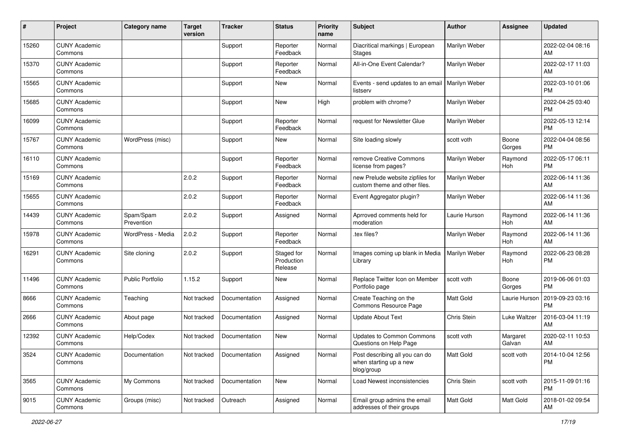| #     | Project                         | <b>Category name</b>    | <b>Target</b><br>version | Tracker       | <b>Status</b>                       | <b>Priority</b><br>name | <b>Subject</b>                                                         | <b>Author</b>        | <b>Assignee</b>    | <b>Updated</b>                |
|-------|---------------------------------|-------------------------|--------------------------|---------------|-------------------------------------|-------------------------|------------------------------------------------------------------------|----------------------|--------------------|-------------------------------|
| 15260 | <b>CUNY Academic</b><br>Commons |                         |                          | Support       | Reporter<br>Feedback                | Normal                  | Diacritical markings   European<br><b>Stages</b>                       | Marilyn Weber        |                    | 2022-02-04 08:16<br>AM        |
| 15370 | <b>CUNY Academic</b><br>Commons |                         |                          | Support       | Reporter<br>Feedback                | Normal                  | All-in-One Event Calendar?                                             | Marilyn Weber        |                    | 2022-02-17 11:03<br>AM        |
| 15565 | <b>CUNY Academic</b><br>Commons |                         |                          | Support       | New                                 | Normal                  | Events - send updates to an email<br>listserv                          | <b>Marilyn Weber</b> |                    | 2022-03-10 01:06<br>PM        |
| 15685 | <b>CUNY Academic</b><br>Commons |                         |                          | Support       | New                                 | High                    | problem with chrome?                                                   | Marilyn Weber        |                    | 2022-04-25 03:40<br><b>PM</b> |
| 16099 | <b>CUNY Academic</b><br>Commons |                         |                          | Support       | Reporter<br>Feedback                | Normal                  | request for Newsletter Glue                                            | Marilyn Weber        |                    | 2022-05-13 12:14<br><b>PM</b> |
| 15767 | <b>CUNY Academic</b><br>Commons | WordPress (misc)        |                          | Support       | <b>New</b>                          | Normal                  | Site loading slowly                                                    | scott voth           | Boone<br>Gorges    | 2022-04-04 08:56<br>PM        |
| 16110 | <b>CUNY Academic</b><br>Commons |                         |                          | Support       | Reporter<br>Feedback                | Normal                  | remove Creative Commons<br>license from pages?                         | Marilyn Weber        | Raymond<br>Hoh     | 2022-05-17 06:11<br><b>PM</b> |
| 15169 | <b>CUNY Academic</b><br>Commons |                         | 2.0.2                    | Support       | Reporter<br>Feedback                | Normal                  | new Prelude website zipfiles for<br>custom theme and other files.      | Marilyn Weber        |                    | 2022-06-14 11:36<br>AM        |
| 15655 | <b>CUNY Academic</b><br>Commons |                         | 2.0.2                    | Support       | Reporter<br>Feedback                | Normal                  | Event Aggregator plugin?                                               | Marilyn Weber        |                    | 2022-06-14 11:36<br>AM        |
| 14439 | <b>CUNY Academic</b><br>Commons | Spam/Spam<br>Prevention | 2.0.2                    | Support       | Assigned                            | Normal                  | Aprroved comments held for<br>moderation                               | Laurie Hurson        | Raymond<br>Hoh     | 2022-06-14 11:36<br>AM        |
| 15978 | <b>CUNY Academic</b><br>Commons | WordPress - Media       | 2.0.2                    | Support       | Reporter<br>Feedback                | Normal                  | tex files?                                                             | Marilyn Weber        | Raymond<br>Hoh     | 2022-06-14 11:36<br>AM        |
| 16291 | <b>CUNY Academic</b><br>Commons | Site cloning            | 2.0.2                    | Support       | Staged for<br>Production<br>Release | Normal                  | Images coming up blank in Media<br>Library                             | Marilyn Weber        | Raymond<br>Hoh     | 2022-06-23 08:28<br><b>PM</b> |
| 11496 | <b>CUNY Academic</b><br>Commons | <b>Public Portfolio</b> | 1.15.2                   | Support       | <b>New</b>                          | Normal                  | Replace Twitter Icon on Member<br>Portfolio page                       | scott voth           | Boone<br>Gorges    | 2019-06-06 01:03<br><b>PM</b> |
| 8666  | <b>CUNY Academic</b><br>Commons | Teaching                | Not tracked              | Documentation | Assigned                            | Normal                  | Create Teaching on the<br>Commons Resource Page                        | <b>Matt Gold</b>     | Laurie Hurson      | 2019-09-23 03:16<br><b>PM</b> |
| 2666  | <b>CUNY Academic</b><br>Commons | About page              | Not tracked              | Documentation | Assigned                            | Normal                  | <b>Update About Text</b>                                               | Chris Stein          | Luke Waltzer       | 2016-03-04 11:19<br>AM        |
| 12392 | <b>CUNY Academic</b><br>Commons | Help/Codex              | Not tracked              | Documentation | <b>New</b>                          | Normal                  | <b>Updates to Common Commons</b><br>Questions on Help Page             | scott voth           | Margaret<br>Galvan | 2020-02-11 10:53<br>AM        |
| 3524  | <b>CUNY Academic</b><br>Commons | Documentation           | Not tracked              | Documentation | Assigned                            | Normal                  | Post describing all you can do<br>when starting up a new<br>blog/group | Matt Gold            | scott voth         | 2014-10-04 12:56<br>PM        |
| 3565  | <b>CUNY Academic</b><br>Commons | My Commons              | Not tracked              | Documentation | New                                 | Normal                  | Load Newest inconsistencies                                            | Chris Stein          | scott voth         | 2015-11-09 01:16<br><b>PM</b> |
| 9015  | <b>CUNY Academic</b><br>Commons | Groups (misc)           | Not tracked              | Outreach      | Assigned                            | Normal                  | Email group admins the email<br>addresses of their groups              | Matt Gold            | Matt Gold          | 2018-01-02 09:54<br>AM        |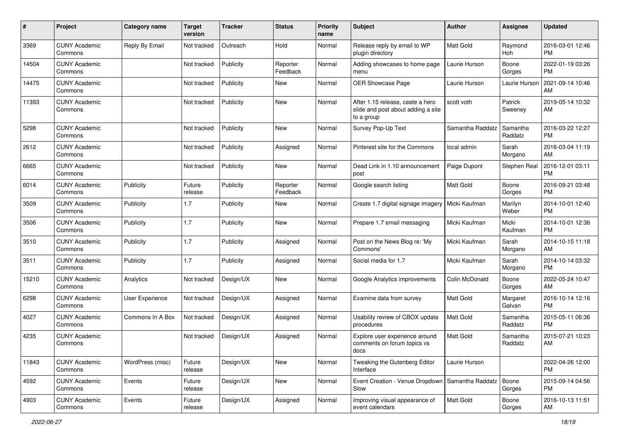| #     | Project                         | <b>Category name</b> | Target<br>version | <b>Tracker</b> | <b>Status</b>        | <b>Priority</b><br>name | <b>Subject</b>                                                                       | Author           | Assignee            | <b>Updated</b>                |
|-------|---------------------------------|----------------------|-------------------|----------------|----------------------|-------------------------|--------------------------------------------------------------------------------------|------------------|---------------------|-------------------------------|
| 3369  | <b>CUNY Academic</b><br>Commons | Reply By Email       | Not tracked       | Outreach       | Hold                 | Normal                  | Release reply by email to WP<br>plugin directory                                     | Matt Gold        | Raymond<br>Hoh      | 2016-03-01 12:46<br><b>PM</b> |
| 14504 | <b>CUNY Academic</b><br>Commons |                      | Not tracked       | Publicity      | Reporter<br>Feedback | Normal                  | Adding showcases to home page<br>menu                                                | Laurie Hurson    | Boone<br>Gorges     | 2022-01-19 03:26<br>PM        |
| 14475 | <b>CUNY Academic</b><br>Commons |                      | Not tracked       | Publicity      | New                  | Normal                  | OER Showcase Page                                                                    | Laurie Hurson    | Laurie Hurson       | 2021-09-14 10:46<br>AM        |
| 11393 | <b>CUNY Academic</b><br>Commons |                      | Not tracked       | Publicity      | <b>New</b>           | Normal                  | After 1.15 release, ceate a hero<br>slide and post about adding a site<br>to a group | scott voth       | Patrick<br>Sweeney  | 2019-05-14 10:32<br>AM        |
| 5298  | <b>CUNY Academic</b><br>Commons |                      | Not tracked       | Publicity      | <b>New</b>           | Normal                  | Survey Pop-Up Text                                                                   | Samantha Raddatz | Samantha<br>Raddatz | 2016-03-22 12:27<br><b>PM</b> |
| 2612  | <b>CUNY Academic</b><br>Commons |                      | Not tracked       | Publicity      | Assigned             | Normal                  | Pinterest site for the Commons                                                       | local admin      | Sarah<br>Morgano    | 2016-03-04 11:19<br>AM        |
| 6665  | <b>CUNY Academic</b><br>Commons |                      | Not tracked       | Publicity      | New                  | Normal                  | Dead Link in 1.10 announcement<br>post                                               | Paige Dupont     | Stephen Real        | 2016-12-01 03:11<br><b>PM</b> |
| 6014  | <b>CUNY Academic</b><br>Commons | Publicity            | Future<br>release | Publicity      | Reporter<br>Feedback | Normal                  | Google search listing                                                                | <b>Matt Gold</b> | Boone<br>Gorges     | 2016-09-21 03:48<br><b>PM</b> |
| 3509  | <b>CUNY Academic</b><br>Commons | Publicity            | 1.7               | Publicity      | <b>New</b>           | Normal                  | Create 1.7 digital signage imagery                                                   | Micki Kaufman    | Marilyn<br>Weber    | 2014-10-01 12:40<br><b>PM</b> |
| 3506  | <b>CUNY Academic</b><br>Commons | Publicity            | 1.7               | Publicity      | New                  | Normal                  | Prepare 1.7 email messaging                                                          | Micki Kaufman    | Micki<br>Kaufman    | 2014-10-01 12:36<br><b>PM</b> |
| 3510  | <b>CUNY Academic</b><br>Commons | Publicity            | 1.7               | Publicity      | Assigned             | Normal                  | Post on the News Blog re: 'My<br>Commons'                                            | Micki Kaufman    | Sarah<br>Morgano    | 2014-10-15 11:18<br>AM        |
| 3511  | <b>CUNY Academic</b><br>Commons | Publicity            | 1.7               | Publicity      | Assigned             | Normal                  | Social media for 1.7                                                                 | Micki Kaufman    | Sarah<br>Morgano    | 2014-10-14 03:32<br><b>PM</b> |
| 15210 | <b>CUNY Academic</b><br>Commons | Analytics            | Not tracked       | Design/UX      | New                  | Normal                  | Google Analytics improvements                                                        | Colin McDonald   | Boone<br>Gorges     | 2022-05-24 10:47<br>AM        |
| 6298  | <b>CUNY Academic</b><br>Commons | User Experience      | Not tracked       | Design/UX      | Assigned             | Normal                  | Examine data from survey                                                             | Matt Gold        | Margaret<br>Galvan  | 2016-10-14 12:16<br><b>PM</b> |
| 4027  | <b>CUNY Academic</b><br>Commons | Commons In A Box     | Not tracked       | Design/UX      | Assigned             | Normal                  | Usability review of CBOX update<br>procedures                                        | Matt Gold        | Samantha<br>Raddatz | 2015-05-11 06:36<br><b>PM</b> |
| 4235  | <b>CUNY Academic</b><br>Commons |                      | Not tracked       | Design/UX      | Assigned             | Normal                  | Explore user experience around<br>comments on forum topics vs<br>docs                | <b>Matt Gold</b> | Samantha<br>Raddatz | 2015-07-21 10:23<br>AM        |
| 11843 | <b>CUNY Academic</b><br>Commons | WordPress (misc)     | Future<br>release | Design/UX      | New                  | Normal                  | Tweaking the Gutenberg Editor<br>Interface                                           | Laurie Hurson    |                     | 2022-04-26 12:00<br>PM        |
| 4592  | <b>CUNY Academic</b><br>Commons | Events               | Future<br>release | Design/UX      | New                  | Normal                  | Event Creation - Venue Dropdown   Samantha Raddatz<br>Slow                           |                  | Boone<br>Gorges     | 2015-09-14 04:56<br><b>PM</b> |
| 4903  | <b>CUNY Academic</b><br>Commons | Events               | Future<br>release | Design/UX      | Assigned             | Normal                  | Improving visual appearance of<br>event calendars                                    | Matt Gold        | Boone<br>Gorges     | 2016-10-13 11:51<br>AM        |